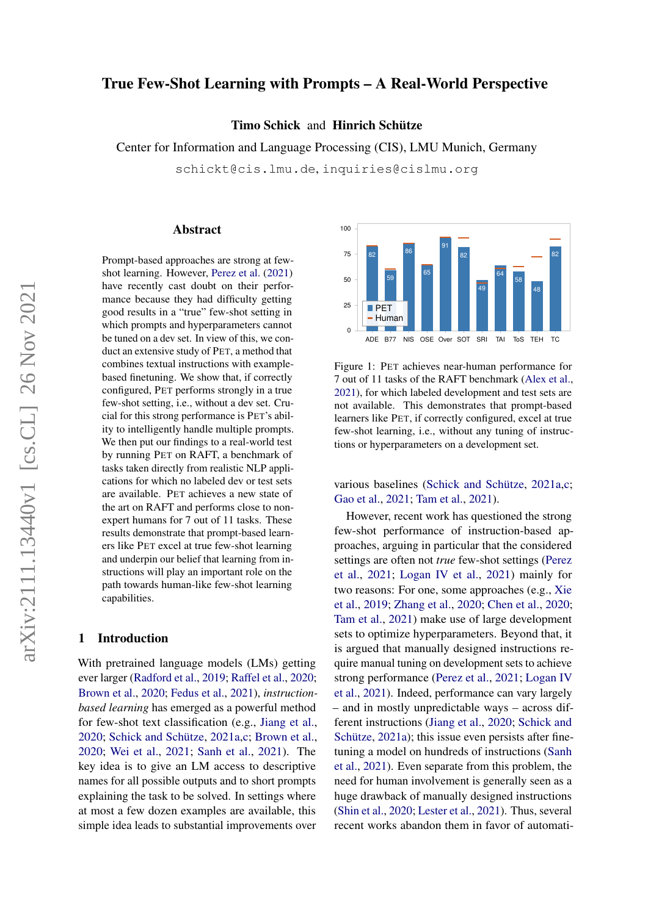# True Few-Shot Learning with Prompts – A Real-World Perspective

Timo Schick and Hinrich Schütze

Center for Information and Language Processing (CIS), LMU Munich, Germany

schickt@cis.lmu.de, inquiries@cislmu.org

#### Abstract

Prompt-based approaches are strong at fewshot learning. However, [Perez et al.](#page-13-0) [\(2021\)](#page-13-0) have recently cast doubt on their performance because they had difficulty getting good results in a "true" few-shot setting in which prompts and hyperparameters cannot be tuned on a dev set. In view of this, we conduct an extensive study of PET, a method that combines textual instructions with examplebased finetuning. We show that, if correctly configured, PET performs strongly in a true few-shot setting, i.e., without a dev set. Crucial for this strong performance is PET's ability to intelligently handle multiple prompts. We then put our findings to a real-world test by running PET on RAFT, a benchmark of tasks taken directly from realistic NLP applications for which no labeled dev or test sets are available. PET achieves a new state of the art on RAFT and performs close to nonexpert humans for 7 out of 11 tasks. These results demonstrate that prompt-based learners like PET excel at true few-shot learning and underpin our belief that learning from instructions will play an important role on the path towards human-like few-shot learning capabilities.

#### 1 Introduction

With pretrained language models (LMs) getting ever larger [\(Radford et al.,](#page-13-1) [2019;](#page-13-1) [Raffel et al.,](#page-13-2) [2020;](#page-13-2) [Brown et al.,](#page-11-0) [2020;](#page-11-0) [Fedus et al.,](#page-11-1) [2021\)](#page-11-1), *instructionbased learning* has emerged as a powerful method for few-shot text classification (e.g., [Jiang et al.,](#page-12-0) [2020;](#page-12-0) [Schick and Schütze,](#page-14-0) [2021a](#page-14-0)[,c;](#page-14-1) [Brown et al.,](#page-11-0) [2020;](#page-11-0) [Wei et al.,](#page-15-0) [2021;](#page-15-0) [Sanh et al.,](#page-13-3) [2021\)](#page-13-3). The key idea is to give an LM access to descriptive names for all possible outputs and to short prompts explaining the task to be solved. In settings where at most a few dozen examples are available, this simple idea leads to substantial improvements over



<span id="page-0-0"></span>Figure 1: PET achieves near-human performance for 7 out of 11 tasks of the RAFT benchmark [\(Alex et al.,](#page-10-0) [2021\)](#page-10-0), for which labeled development and test sets are not available. This demonstrates that prompt-based learners like PET, if correctly configured, excel at true few-shot learning, i.e., without any tuning of instructions or hyperparameters on a development set.

various baselines [\(Schick and Schütze,](#page-14-0) [2021a](#page-14-0)[,c;](#page-14-1) [Gao et al.,](#page-11-2) [2021;](#page-11-2) [Tam et al.,](#page-14-2) [2021\)](#page-14-2).

However, recent work has questioned the strong few-shot performance of instruction-based approaches, arguing in particular that the considered settings are often not *true* few-shot settings [\(Perez](#page-13-0) [et al.,](#page-13-0) [2021;](#page-13-0) [Logan IV et al.,](#page-12-1) [2021\)](#page-12-1) mainly for two reasons: For one, some approaches (e.g., [Xie](#page-15-1) [et al.,](#page-15-1) [2019;](#page-15-1) [Zhang et al.,](#page-15-2) [2020;](#page-15-2) [Chen et al.,](#page-11-3) [2020;](#page-11-3) [Tam et al.,](#page-14-2) [2021\)](#page-14-2) make use of large development sets to optimize hyperparameters. Beyond that, it is argued that manually designed instructions require manual tuning on development sets to achieve strong performance [\(Perez et al.,](#page-13-0) [2021;](#page-13-0) [Logan IV](#page-12-1) [et al.,](#page-12-1) [2021\)](#page-12-1). Indeed, performance can vary largely – and in mostly unpredictable ways – across different instructions [\(Jiang et al.,](#page-12-0) [2020;](#page-12-0) [Schick and](#page-14-0) [Schütze,](#page-14-0) [2021a\)](#page-14-0); this issue even persists after finetuning a model on hundreds of instructions [\(Sanh](#page-13-3) [et al.,](#page-13-3) [2021\)](#page-13-3). Even separate from this problem, the need for human involvement is generally seen as a huge drawback of manually designed instructions [\(Shin et al.,](#page-14-3) [2020;](#page-14-3) [Lester et al.,](#page-12-2) [2021\)](#page-12-2). Thus, several recent works abandon them in favor of automati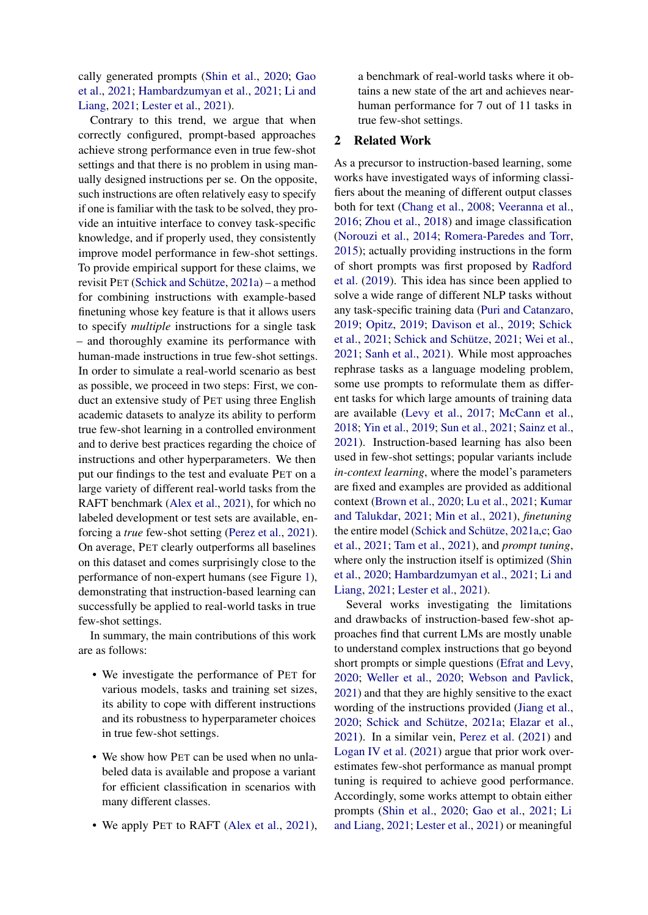cally generated prompts [\(Shin et al.,](#page-14-3) [2020;](#page-14-3) [Gao](#page-11-2) [et al.,](#page-11-2) [2021;](#page-11-2) [Hambardzumyan et al.,](#page-12-3) [2021;](#page-12-3) [Li and](#page-12-4) [Liang,](#page-12-4) [2021;](#page-12-4) [Lester et al.,](#page-12-2) [2021\)](#page-12-2).

Contrary to this trend, we argue that when correctly configured, prompt-based approaches achieve strong performance even in true few-shot settings and that there is no problem in using manually designed instructions per se. On the opposite, such instructions are often relatively easy to specify if one is familiar with the task to be solved, they provide an intuitive interface to convey task-specific knowledge, and if properly used, they consistently improve model performance in few-shot settings. To provide empirical support for these claims, we revisit PET [\(Schick and Schütze,](#page-14-0) [2021a\)](#page-14-0) – a method for combining instructions with example-based finetuning whose key feature is that it allows users to specify *multiple* instructions for a single task – and thoroughly examine its performance with human-made instructions in true few-shot settings. In order to simulate a real-world scenario as best as possible, we proceed in two steps: First, we conduct an extensive study of PET using three English academic datasets to analyze its ability to perform true few-shot learning in a controlled environment and to derive best practices regarding the choice of instructions and other hyperparameters. We then put our findings to the test and evaluate PET on a large variety of different real-world tasks from the RAFT benchmark [\(Alex et al.,](#page-10-0) [2021\)](#page-10-0), for which no labeled development or test sets are available, enforcing a *true* few-shot setting [\(Perez et al.,](#page-13-0) [2021\)](#page-13-0). On average, PET clearly outperforms all baselines on this dataset and comes surprisingly close to the performance of non-expert humans (see Figure [1\)](#page-0-0), demonstrating that instruction-based learning can successfully be applied to real-world tasks in true few-shot settings.

In summary, the main contributions of this work are as follows:

- We investigate the performance of PET for various models, tasks and training set sizes, its ability to cope with different instructions and its robustness to hyperparameter choices in true few-shot settings.
- We show how PET can be used when no unlabeled data is available and propose a variant for efficient classification in scenarios with many different classes.
- We apply PET to RAFT [\(Alex et al.,](#page-10-0) [2021\)](#page-10-0),

a benchmark of real-world tasks where it obtains a new state of the art and achieves nearhuman performance for 7 out of 11 tasks in true few-shot settings.

### 2 Related Work

As a precursor to instruction-based learning, some works have investigated ways of informing classifiers about the meaning of different output classes both for text [\(Chang et al.,](#page-11-4) [2008;](#page-11-4) [Veeranna et al.,](#page-14-4) [2016;](#page-14-4) [Zhou et al.,](#page-15-3) [2018\)](#page-15-3) and image classification [\(Norouzi et al.,](#page-13-4) [2014;](#page-13-4) [Romera-Paredes and Torr,](#page-13-5) [2015\)](#page-13-5); actually providing instructions in the form of short prompts was first proposed by [Radford](#page-13-1) [et al.](#page-13-1) [\(2019\)](#page-13-1). This idea has since been applied to solve a wide range of different NLP tasks without any task-specific training data [\(Puri and Catanzaro,](#page-13-6) [2019;](#page-13-6) [Opitz,](#page-13-7) [2019;](#page-13-7) [Davison et al.,](#page-11-5) [2019;](#page-11-5) [Schick](#page-14-5) [et al.,](#page-14-5) [2021;](#page-14-5) [Schick and Schütze,](#page-14-6) [2021;](#page-14-6) [Wei et al.,](#page-15-0) [2021;](#page-15-0) [Sanh et al.,](#page-13-3) [2021\)](#page-13-3). While most approaches rephrase tasks as a language modeling problem, some use prompts to reformulate them as different tasks for which large amounts of training data are available [\(Levy et al.,](#page-12-5) [2017;](#page-12-5) [McCann et al.,](#page-12-6) [2018;](#page-12-6) [Yin et al.,](#page-15-4) [2019;](#page-15-4) [Sun et al.,](#page-14-7) [2021;](#page-14-7) [Sainz et al.,](#page-13-8) [2021\)](#page-13-8). Instruction-based learning has also been used in few-shot settings; popular variants include *in-context learning*, where the model's parameters are fixed and examples are provided as additional context [\(Brown et al.,](#page-11-0) [2020;](#page-11-0) [Lu et al.,](#page-12-7) [2021;](#page-12-7) [Kumar](#page-12-8) [and Talukdar,](#page-12-8) [2021;](#page-12-8) [Min et al.,](#page-13-9) [2021\)](#page-13-9), *finetuning* the entire model [\(Schick and Schütze,](#page-14-0) [2021a](#page-14-0)[,c;](#page-14-1) [Gao](#page-11-2) [et al.,](#page-11-2) [2021;](#page-11-2) [Tam et al.,](#page-14-2) [2021\)](#page-14-2), and *prompt tuning*, where only the instruction itself is optimized [\(Shin](#page-14-3) [et al.,](#page-14-3) [2020;](#page-14-3) [Hambardzumyan et al.,](#page-12-3) [2021;](#page-12-3) [Li and](#page-12-4) [Liang,](#page-12-4) [2021;](#page-12-4) [Lester et al.,](#page-12-2) [2021\)](#page-12-2).

Several works investigating the limitations and drawbacks of instruction-based few-shot approaches find that current LMs are mostly unable to understand complex instructions that go beyond short prompts or simple questions [\(Efrat and Levy,](#page-11-6) [2020;](#page-11-6) [Weller et al.,](#page-15-5) [2020;](#page-15-5) [Webson and Pavlick,](#page-15-6) [2021\)](#page-15-6) and that they are highly sensitive to the exact wording of the instructions provided [\(Jiang et al.,](#page-12-0) [2020;](#page-12-0) [Schick and Schütze,](#page-14-0) [2021a;](#page-14-0) [Elazar et al.,](#page-11-7) [2021\)](#page-11-7). In a similar vein, [Perez et al.](#page-13-0) [\(2021\)](#page-13-0) and [Logan IV et al.](#page-12-1) [\(2021\)](#page-12-1) argue that prior work overestimates few-shot performance as manual prompt tuning is required to achieve good performance. Accordingly, some works attempt to obtain either prompts [\(Shin et al.,](#page-14-3) [2020;](#page-14-3) [Gao et al.,](#page-11-2) [2021;](#page-11-2) [Li](#page-12-4) [and Liang,](#page-12-4) [2021;](#page-12-4) [Lester et al.,](#page-12-2) [2021\)](#page-12-2) or meaningful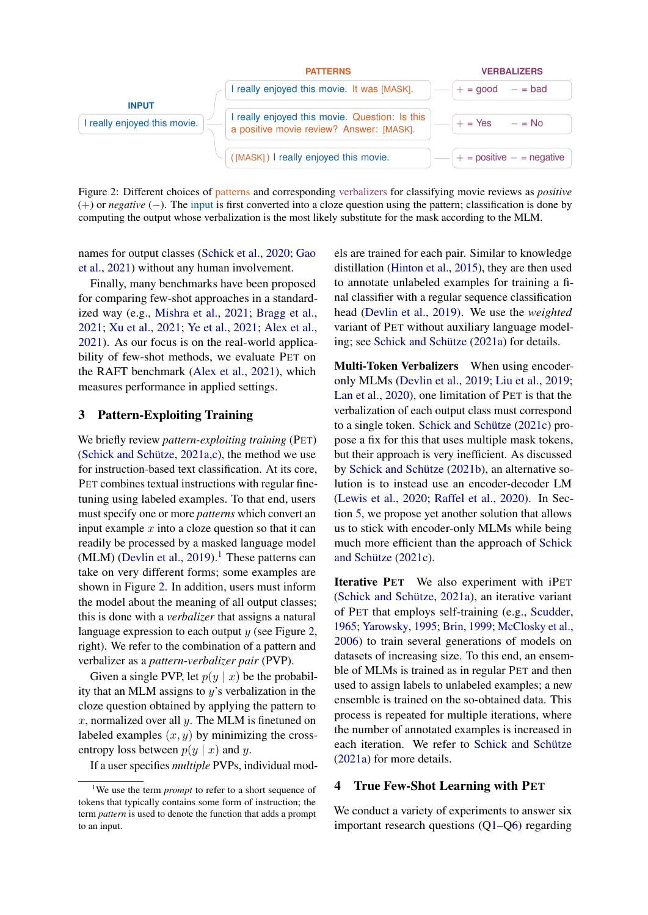

<span id="page-2-1"></span>Figure 2: Different choices of patterns and corresponding verbalizers for classifying movie reviews as *positive* (+) or *negative* (−). The input is first converted into a cloze question using the pattern; classification is done by computing the output whose verbalization is the most likely substitute for the mask according to the MLM.

names for output classes [\(Schick et al.,](#page-14-8) [2020;](#page-14-8) [Gao](#page-11-2) [et al.,](#page-11-2) [2021\)](#page-11-2) without any human involvement.

Finally, many benchmarks have been proposed for comparing few-shot approaches in a standardized way (e.g., [Mishra et al.,](#page-13-10) [2021;](#page-13-10) [Bragg et al.,](#page-10-1) [2021;](#page-10-1) [Xu et al.,](#page-15-7) [2021;](#page-15-7) [Ye et al.,](#page-15-8) [2021;](#page-15-8) [Alex et al.,](#page-10-0) [2021\)](#page-10-0). As our focus is on the real-world applicability of few-shot methods, we evaluate PET on the RAFT benchmark [\(Alex et al.,](#page-10-0) [2021\)](#page-10-0), which measures performance in applied settings.

#### 3 Pattern-Exploiting Training

We briefly review *pattern-exploiting training* (PET) [\(Schick and Schütze,](#page-14-0) [2021a](#page-14-0)[,c\)](#page-14-1), the method we use for instruction-based text classification. At its core, PET combines textual instructions with regular finetuning using labeled examples. To that end, users must specify one or more *patterns* which convert an input example  $x$  into a cloze question so that it can readily be processed by a masked language model (MLM) [\(Devlin et al.,](#page-11-8) [2019\)](#page-11-8).<sup>[1](#page-2-0)</sup> These patterns can take on very different forms; some examples are shown in Figure [2.](#page-2-1) In addition, users must inform the model about the meaning of all output classes; this is done with a *verbalizer* that assigns a natural language expression to each output  $y$  (see Figure [2,](#page-2-1) right). We refer to the combination of a pattern and verbalizer as a *pattern-verbalizer pair* (PVP).

Given a single PVP, let  $p(y | x)$  be the probability that an MLM assigns to  $y$ 's verbalization in the cloze question obtained by applying the pattern to  $x$ , normalized over all  $y$ . The MLM is finetuned on labeled examples  $(x, y)$  by minimizing the crossentropy loss between  $p(y | x)$  and y.

If a user specifies *multiple* PVPs, individual mod-

els are trained for each pair. Similar to knowledge distillation [\(Hinton et al.,](#page-12-9) [2015\)](#page-12-9), they are then used to annotate unlabeled examples for training a final classifier with a regular sequence classification head [\(Devlin et al.,](#page-11-8) [2019\)](#page-11-8). We use the *weighted* variant of PET without auxiliary language modeling; see [Schick and Schütze](#page-14-0) [\(2021a\)](#page-14-0) for details.

Multi-Token Verbalizers When using encoderonly MLMs [\(Devlin et al.,](#page-11-8) [2019;](#page-11-8) [Liu et al.,](#page-12-10) [2019;](#page-12-10) [Lan et al.,](#page-12-11) [2020\)](#page-12-11), one limitation of PET is that the verbalization of each output class must correspond to a single token. [Schick and Schütze](#page-14-1) [\(2021c\)](#page-14-1) propose a fix for this that uses multiple mask tokens, but their approach is very inefficient. As discussed by [Schick and Schütze](#page-14-9) [\(2021b\)](#page-14-9), an alternative solution is to instead use an encoder-decoder LM [\(Lewis et al.,](#page-12-12) [2020;](#page-12-12) [Raffel et al.,](#page-13-2) [2020\)](#page-13-2). In Section [5,](#page-7-0) we propose yet another solution that allows us to stick with encoder-only MLMs while being much more efficient than the approach of [Schick](#page-14-1) [and Schütze](#page-14-1) [\(2021c\)](#page-14-1).

Iterative PET We also experiment with iPET [\(Schick and Schütze,](#page-14-0) [2021a\)](#page-14-0), an iterative variant of PET that employs self-training (e.g., [Scudder,](#page-14-10) [1965;](#page-14-10) [Yarowsky,](#page-15-9) [1995;](#page-15-9) [Brin,](#page-10-2) [1999;](#page-10-2) [McClosky et al.,](#page-13-11) [2006\)](#page-13-11) to train several generations of models on datasets of increasing size. To this end, an ensemble of MLMs is trained as in regular PET and then used to assign labels to unlabeled examples; a new ensemble is trained on the so-obtained data. This process is repeated for multiple iterations, where the number of annotated examples is increased in each iteration. We refer to [Schick and Schütze](#page-14-0) [\(2021a\)](#page-14-0) for more details.

#### <span id="page-2-2"></span>4 True Few-Shot Learning with PET

We conduct a variety of experiments to answer six important research questions ([Q1–](#page-3-0)[Q6\)](#page-6-0) regarding

<span id="page-2-0"></span><sup>&</sup>lt;sup>1</sup>We use the term *prompt* to refer to a short sequence of tokens that typically contains some form of instruction; the term *pattern* is used to denote the function that adds a prompt to an input.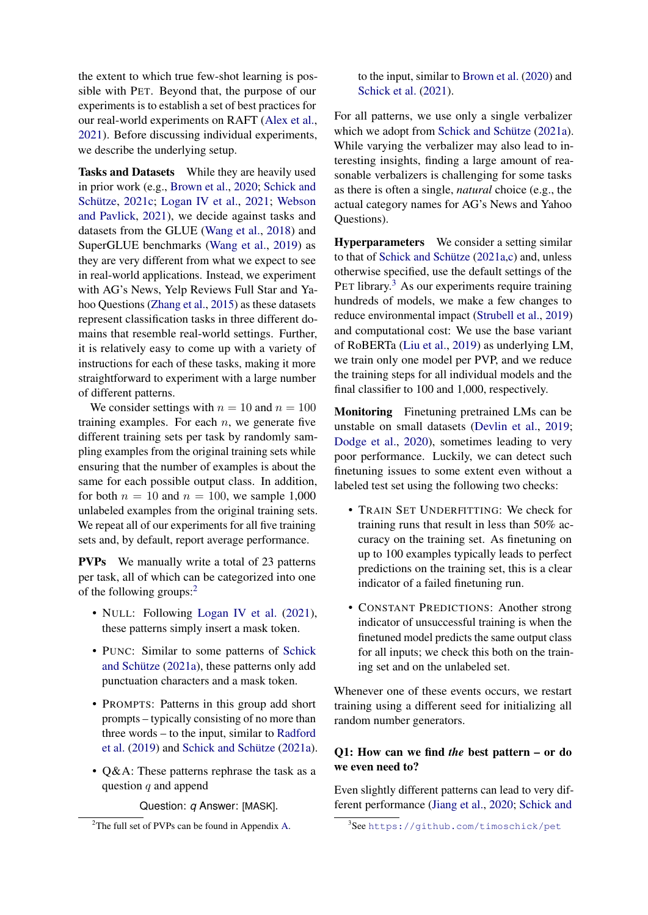the extent to which true few-shot learning is possible with PET. Beyond that, the purpose of our experiments is to establish a set of best practices for our real-world experiments on RAFT [\(Alex et al.,](#page-10-0) [2021\)](#page-10-0). Before discussing individual experiments, we describe the underlying setup.

Tasks and Datasets While they are heavily used in prior work (e.g., [Brown et al.,](#page-11-0) [2020;](#page-11-0) [Schick and](#page-14-1) [Schütze,](#page-14-1) [2021c;](#page-14-1) [Logan IV et al.,](#page-12-1) [2021;](#page-12-1) [Webson](#page-15-6) [and Pavlick,](#page-15-6) [2021\)](#page-15-6), we decide against tasks and datasets from the GLUE [\(Wang et al.,](#page-14-11) [2018\)](#page-14-11) and SuperGLUE benchmarks [\(Wang et al.,](#page-14-12) [2019\)](#page-14-12) as they are very different from what we expect to see in real-world applications. Instead, we experiment with AG's News, Yelp Reviews Full Star and Yahoo Questions [\(Zhang et al.,](#page-15-10) [2015\)](#page-15-10) as these datasets represent classification tasks in three different domains that resemble real-world settings. Further, it is relatively easy to come up with a variety of instructions for each of these tasks, making it more straightforward to experiment with a large number of different patterns.

We consider settings with  $n = 10$  and  $n = 100$ training examples. For each  $n$ , we generate five different training sets per task by randomly sampling examples from the original training sets while ensuring that the number of examples is about the same for each possible output class. In addition, for both  $n = 10$  and  $n = 100$ , we sample 1,000 unlabeled examples from the original training sets. We repeat all of our experiments for all five training sets and, by default, report average performance.

PVPs We manually write a total of 23 patterns per task, all of which can be categorized into one of the following groups:<sup>[2](#page-3-1)</sup>

- NULL: Following [Logan IV et al.](#page-12-1) [\(2021\)](#page-12-1), these patterns simply insert a mask token.
- PUNC: Similar to some patterns of [Schick](#page-14-0) [and Schütze](#page-14-0) [\(2021a\)](#page-14-0), these patterns only add punctuation characters and a mask token.
- PROMPTS: Patterns in this group add short prompts – typically consisting of no more than three words – to the input, similar to [Radford](#page-13-1) [et al.](#page-13-1) [\(2019\)](#page-13-1) and [Schick and Schütze](#page-14-0) [\(2021a\)](#page-14-0).
- Q&A: These patterns rephrase the task as a question  $q$  and append

Question: *q* Answer: [MASK].

to the input, similar to [Brown et al.](#page-11-0) [\(2020\)](#page-11-0) and [Schick et al.](#page-14-5) [\(2021\)](#page-14-5).

For all patterns, we use only a single verbalizer which we adopt from [Schick and Schütze](#page-14-0) [\(2021a\)](#page-14-0). While varying the verbalizer may also lead to interesting insights, finding a large amount of reasonable verbalizers is challenging for some tasks as there is often a single, *natural* choice (e.g., the actual category names for AG's News and Yahoo Questions).

Hyperparameters We consider a setting similar to that of [Schick and Schütze](#page-14-0) [\(2021a](#page-14-0)[,c\)](#page-14-1) and, unless otherwise specified, use the default settings of the PET library.<sup>[3](#page-3-2)</sup> As our experiments require training hundreds of models, we make a few changes to reduce environmental impact [\(Strubell et al.,](#page-14-13) [2019\)](#page-14-13) and computational cost: We use the base variant of RoBERTa [\(Liu et al.,](#page-12-10) [2019\)](#page-12-10) as underlying LM, we train only one model per PVP, and we reduce the training steps for all individual models and the final classifier to 100 and 1,000, respectively.

Monitoring Finetuning pretrained LMs can be unstable on small datasets [\(Devlin et al.,](#page-11-8) [2019;](#page-11-8) [Dodge et al.,](#page-11-9) [2020\)](#page-11-9), sometimes leading to very poor performance. Luckily, we can detect such finetuning issues to some extent even without a labeled test set using the following two checks:

- TRAIN SET UNDERFITTING: We check for training runs that result in less than 50% accuracy on the training set. As finetuning on up to 100 examples typically leads to perfect predictions on the training set, this is a clear indicator of a failed finetuning run.
- CONSTANT PREDICTIONS: Another strong indicator of unsuccessful training is when the finetuned model predicts the same output class for all inputs; we check this both on the training set and on the unlabeled set.

Whenever one of these events occurs, we restart training using a different seed for initializing all random number generators.

#### <span id="page-3-0"></span>Q1: How can we find *the* best pattern – or do we even need to?

Even slightly different patterns can lead to very different performance [\(Jiang et al.,](#page-12-0) [2020;](#page-12-0) [Schick and](#page-14-0)

<span id="page-3-1"></span><sup>&</sup>lt;sup>2</sup>The full set of PVPs can be found in Appendix [A.](#page-15-11)

<span id="page-3-2"></span><sup>3</sup> See [https://github.com/timoschick/pet](#page-14-0)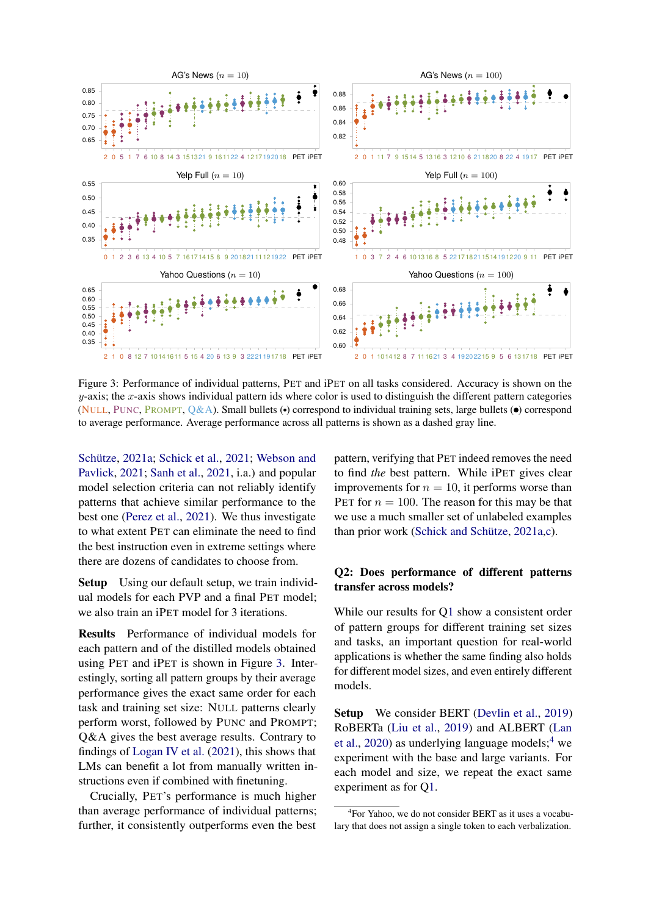

<span id="page-4-0"></span>Figure 3: [P](#page-14-0)erformance of individual patterns, PET and iPET on all tasks considered. Accuracy is shown on the  $y$ -axis; the  $x$ -axis shows individual pattern ids where color is used to distinguish the different pattern categories [\(](#page-14-0)NULL, PUNC, PROMPT,  $Q&A$ ). Small bullets  $\left(\bullet\right)$  correspond to individual training sets, large bullets  $\left(\bullet\right)$  correspond to average performance. Average performance across all patterns is shown as a dashed gray line.

[Schütze,](#page-14-0) [2021a;](#page-14-0) [Schick et al.,](#page-14-5) [2021;](#page-14-5) [Webson and](#page-15-6) [Pavlick,](#page-15-6) [2021;](#page-15-6) [Sanh et al.,](#page-13-3) [2021,](#page-13-3) i.a.) and popular model selection criteria can not reliably identify patterns that achieve similar performance to the best one [\(Perez et al.,](#page-13-0) [2021\)](#page-13-0). We thus investigate to what extent PET can eliminate the need to find the best instruction even in extreme settings where there are dozens of candidates to choose from.

Setup Using our default setup, we train individual models for each PVP and a final PET model; we also train an iPET model for 3 iterations.

Results Performance of individual models for each pattern and of the distilled models obtained using PET and iPET is shown in Figure [3.](#page-4-0) Interestingly, sorting all pattern groups by their average performance gives the exact same order for each task and training set size: NULL patterns clearly perform worst, followed by PUNC and PROMPT; Q&A gives the best average results. Contrary to findings of [Logan IV et al.](#page-12-1) [\(2021\)](#page-12-1), this shows that LMs can benefit a lot from manually written instructions even if combined with finetuning.

Crucially, PET's performance is much higher than average performance of individual patterns; further, it consistently outperforms even the best pattern, verifying that PET indeed removes the need to find *the* best pattern. While iPET gives clear improvements for  $n = 10$ , it performs worse than PET for  $n = 100$ . The reason for this may be that we use a much smaller set of unlabeled examples than prior work [\(Schick and Schütze,](#page-14-0) [2021a,](#page-14-0)[c\)](#page-14-1).

#### <span id="page-4-2"></span>Q2: Does performance of different patterns transfer across models?

While our results for [Q1](#page-3-0) show a consistent order of pattern groups for different training set sizes and tasks, an important question for real-world applications is whether the same finding also holds for different model sizes, and even entirely different models.

Setup We consider BERT [\(Devlin et al.,](#page-11-8) [2019\)](#page-11-8) RoBERTa [\(Liu et al.,](#page-12-10) [2019\)](#page-12-10) and ALBERT [\(Lan](#page-12-11) [et al.,](#page-12-11) [2020\)](#page-12-11) as underlying language models;  $4$  we experiment with the base and large variants. For each model and size, we repeat the exact same experiment as for [Q1.](#page-3-0)

<span id="page-4-1"></span><sup>4</sup> For Yahoo, we do not consider BERT as it uses a vocabulary that does not assign a single token to each verbalization.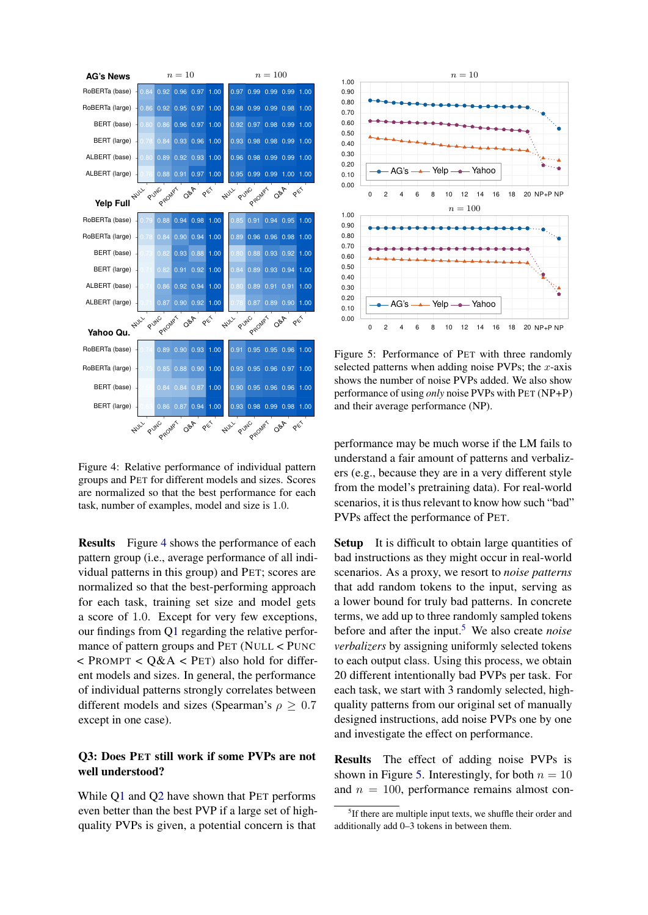

<span id="page-5-0"></span>Figure 4: Relative performance of individual pattern groups and PET for different models and sizes. Scores are normalized so that the best performance for each task, number of examples, model and size is 1.0.

Results Figure [4](#page-5-0) shows the performance of each pattern group (i.e., average performance of all individual patterns in this group) and PET; scores are normalized so that the best-performing approach for each task, training set size and model gets a score of 1.0. Except for very few exceptions, our findings from [Q1](#page-3-0) regarding the relative performance of pattern groups and PET (NULL < PUNC  $<$  PROMPT  $<$  O&A  $<$  PET) also hold for different models and sizes. In general, the performance of individual patterns strongly correlates between different models and sizes (Spearman's  $\rho \geq 0.7$ except in one case).

## <span id="page-5-3"></span>Q3: Does PET still work if some PVPs are not well understood?

While [Q1](#page-3-0) and [Q2](#page-4-2) have shown that PET performs even better than the best PVP if a large set of highquality PVPs is given, a potential concern is that



<span id="page-5-2"></span>Figure 5: Performance of PET with three randomly selected patterns when adding noise PVPs; the  $x$ -axis shows the number of noise PVPs added. We also show performance of using *only* noise PVPs with PET (NP+P) and their average performance (NP).

performance may be much worse if the LM fails to understand a fair amount of patterns and verbalizers (e.g., because they are in a very different style from the model's pretraining data). For real-world scenarios, it is thus relevant to know how such "bad" PVPs affect the performance of PET.

Setup It is difficult to obtain large quantities of bad instructions as they might occur in real-world scenarios. As a proxy, we resort to *noise patterns* that add random tokens to the input, serving as a lower bound for truly bad patterns. In concrete terms, we add up to three randomly sampled tokens before and after the input.<sup>[5](#page-5-1)</sup> We also create *noise verbalizers* by assigning uniformly selected tokens to each output class. Using this process, we obtain 20 different intentionally bad PVPs per task. For each task, we start with 3 randomly selected, highquality patterns from our original set of manually designed instructions, add noise PVPs one by one and investigate the effect on performance.

Results The effect of adding noise PVPs is shown in Figure [5.](#page-5-2) Interestingly, for both  $n = 10$ and  $n = 100$ , performance remains almost con-

<span id="page-5-1"></span><sup>&</sup>lt;sup>5</sup>If there are multiple input texts, we shuffle their order and additionally add 0–3 tokens in between them.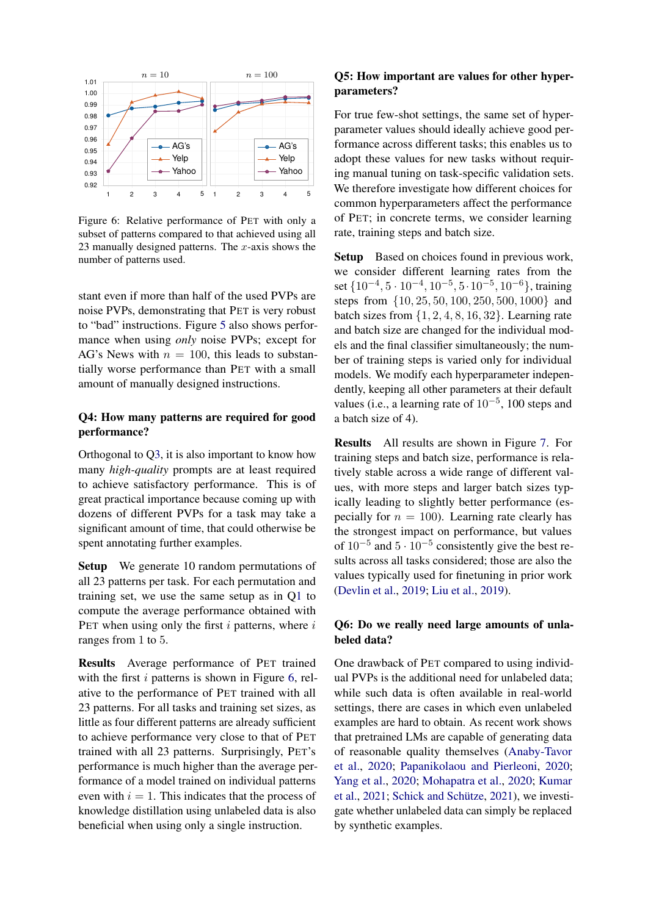

<span id="page-6-1"></span>Figure 6: Relative performance of PET with only a subset of patterns compared to that achieved using all 23 manually designed patterns. The  $x$ -axis shows the number of patterns used.

stant even if more than half of the used PVPs are noise PVPs, demonstrating that PET is very robust to "bad" instructions. Figure [5](#page-5-2) also shows performance when using *only* noise PVPs; except for AG's News with  $n = 100$ , this leads to substantially worse performance than PET with a small amount of manually designed instructions.

#### <span id="page-6-2"></span>Q4: How many patterns are required for good performance?

Orthogonal to [Q3,](#page-5-3) it is also important to know how many *high-quality* prompts are at least required to achieve satisfactory performance. This is of great practical importance because coming up with dozens of different PVPs for a task may take a significant amount of time, that could otherwise be spent annotating further examples.

Setup We generate 10 random permutations of all 23 patterns per task. For each permutation and training set, we use the same setup as in [Q1](#page-3-0) to compute the average performance obtained with PET when using only the first  $i$  patterns, where  $i$ ranges from 1 to 5.

<span id="page-6-3"></span>Results Average performance of PET trained with the first  $i$  patterns is shown in Figure [6,](#page-6-1) relative to the performance of PET trained with all 23 patterns. For all tasks and training set sizes, as little as four different patterns are already sufficient to achieve performance very close to that of PET trained with all 23 patterns. Surprisingly, PET's performance is much higher than the average performance of a model trained on individual patterns even with  $i = 1$ . This indicates that the process of knowledge distillation using unlabeled data is also beneficial when using only a single instruction.

## Q5: How important are values for other hyperparameters?

For true few-shot settings, the same set of hyperparameter values should ideally achieve good performance across different tasks; this enables us to adopt these values for new tasks without requiring manual tuning on task-specific validation sets. We therefore investigate how different choices for common hyperparameters affect the performance of PET; in concrete terms, we consider learning rate, training steps and batch size.

Setup Based on choices found in previous work, we consider different learning rates from the set  $\{10^{-4}, 5 \cdot 10^{-4}, 10^{-5}, 5 \cdot 10^{-5}, 10^{-6}\}$ , training steps from {10, 25, 50, 100, 250, 500, 1000} and batch sizes from  $\{1, 2, 4, 8, 16, 32\}$ . Learning rate and batch size are changed for the individual models and the final classifier simultaneously; the number of training steps is varied only for individual models. We modify each hyperparameter independently, keeping all other parameters at their default values (i.e., a learning rate of  $10^{-5}$ , 100 steps and a batch size of 4).

Results All results are shown in Figure [7.](#page-7-1) For training steps and batch size, performance is relatively stable across a wide range of different values, with more steps and larger batch sizes typically leading to slightly better performance (especially for  $n = 100$ ). Learning rate clearly has the strongest impact on performance, but values of  $10^{-5}$  and  $5 \cdot 10^{-5}$  consistently give the best results across all tasks considered; those are also the values typically used for finetuning in prior work [\(Devlin et al.,](#page-11-8) [2019;](#page-11-8) [Liu et al.,](#page-12-10) [2019\)](#page-12-10).

#### <span id="page-6-0"></span>Q6: Do we really need large amounts of unlabeled data?

One drawback of PET compared to using individual PVPs is the additional need for unlabeled data; while such data is often available in real-world settings, there are cases in which even unlabeled examples are hard to obtain. As recent work shows that pretrained LMs are capable of generating data of reasonable quality themselves [\(Anaby-Tavor](#page-10-3) [et al.,](#page-10-3) [2020;](#page-10-3) [Papanikolaou and Pierleoni,](#page-13-12) [2020;](#page-13-12) [Yang et al.,](#page-15-12) [2020;](#page-15-12) [Mohapatra et al.,](#page-13-13) [2020;](#page-13-13) [Kumar](#page-12-13) [et al.,](#page-12-13) [2021;](#page-12-13) [Schick and Schütze,](#page-14-6) [2021\)](#page-14-6), we investigate whether unlabeled data can simply be replaced by synthetic examples.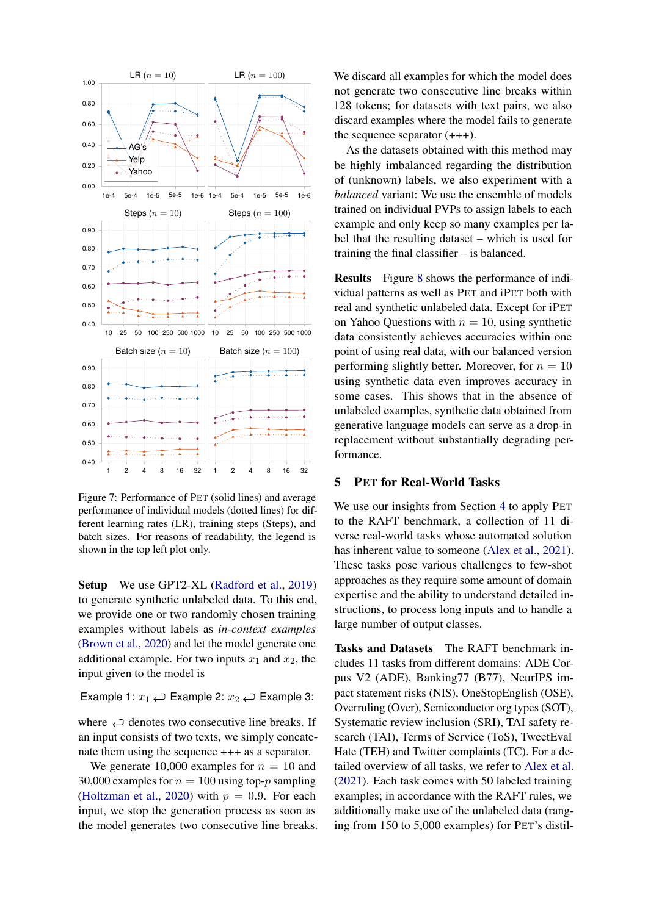

<span id="page-7-1"></span>Figure 7: Performance of PET (solid lines) and average performance of individual models (dotted lines) for different learning rates (LR), training steps (Steps), and batch sizes. For reasons of readability, the legend is shown in the top left plot only.

Setup We use GPT2-XL [\(Radford et al.,](#page-13-1) [2019\)](#page-13-1) to generate synthetic unlabeled data. To this end, we provide one or two randomly chosen training examples without labels as *in-context examples* [\(Brown et al.,](#page-11-0) [2020\)](#page-11-0) and let the model generate one additional example. For two inputs  $x_1$  and  $x_2$ , the input given to the model is

Example 1:  $x_1 \rightleftarrows$  Example 2:  $x_2 \rightleftarrows$  Example 3:

where  $\hookleftarrow$  denotes two consecutive line breaks. If an input consists of two texts, we simply concatenate them using the sequence +++ as a separator.

We generate 10,000 examples for  $n = 10$  and 30,000 examples for  $n = 100$  using top-p sampling [\(Holtzman et al.,](#page-12-14) [2020\)](#page-12-14) with  $p = 0.9$ . For each input, we stop the generation process as soon as the model generates two consecutive line breaks. We discard all examples for which the model does not generate two consecutive line breaks within 128 tokens; for datasets with text pairs, we also discard examples where the model fails to generate the sequence separator (+++).

As the datasets obtained with this method may be highly imbalanced regarding the distribution of (unknown) labels, we also experiment with a *balanced* variant: We use the ensemble of models trained on individual PVPs to assign labels to each example and only keep so many examples per label that the resulting dataset – which is used for training the final classifier – is balanced.

Results Figure [8](#page-8-0) shows the performance of individual patterns as well as PET and iPET both with real and synthetic unlabeled data. Except for iPET on Yahoo Questions with  $n = 10$ , using synthetic data consistently achieves accuracies within one point of using real data, with our balanced version performing slightly better. Moreover, for  $n = 10$ using synthetic data even improves accuracy in some cases. This shows that in the absence of unlabeled examples, synthetic data obtained from generative language models can serve as a drop-in replacement without substantially degrading performance.

#### <span id="page-7-0"></span>5 PET for Real-World Tasks

We use our insights from Section [4](#page-2-2) to apply PET to the RAFT benchmark, a collection of 11 diverse real-world tasks whose automated solution has inherent value to someone [\(Alex et al.,](#page-10-0) [2021\)](#page-10-0). These tasks pose various challenges to few-shot approaches as they require some amount of domain expertise and the ability to understand detailed instructions, to process long inputs and to handle a large number of output classes.

Tasks and Datasets The RAFT benchmark includes 11 tasks from different domains: ADE Corpus V2 (ADE), Banking77 (B77), NeurIPS impact statement risks (NIS), OneStopEnglish (OSE), Overruling (Over), Semiconductor org types (SOT), Systematic review inclusion (SRI), TAI safety research (TAI), Terms of Service (ToS), TweetEval Hate (TEH) and Twitter complaints (TC). For a detailed overview of all tasks, we refer to [Alex et al.](#page-10-0) [\(2021\)](#page-10-0). Each task comes with 50 labeled training examples; in accordance with the RAFT rules, we additionally make use of the unlabeled data (ranging from 150 to 5,000 examples) for PET's distil-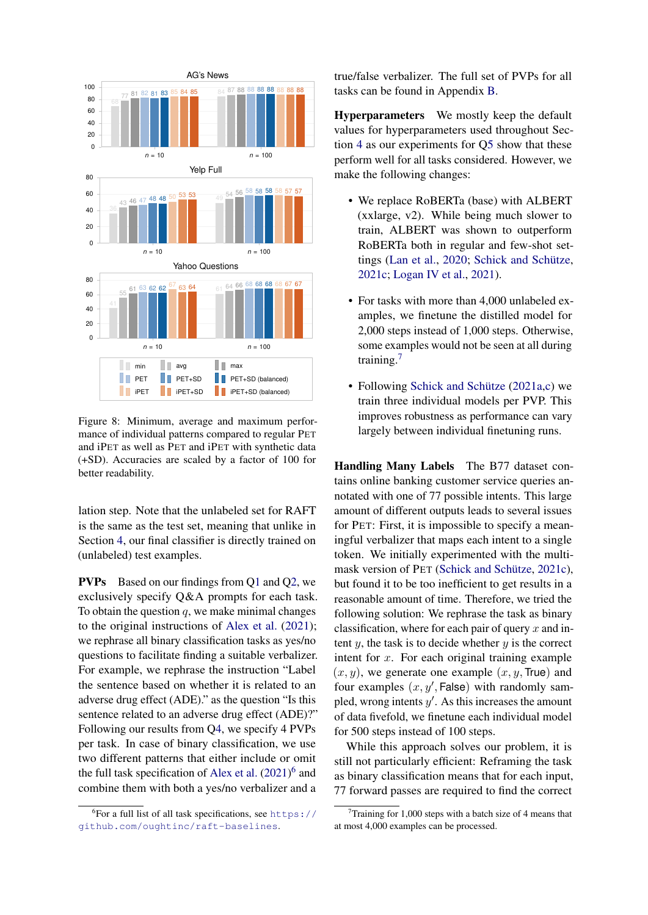

<span id="page-8-0"></span>Figure 8: Minimum, average and maximum performance of individual patterns compared to regular PET and iPET as well as PET and iPET with synthetic data (+SD). Accuracies are scaled by a factor of 100 for better readability.

lation step. Note that the unlabeled set for RAFT is the same as the test set, meaning that unlike in Section [4,](#page-2-2) our final classifier is directly trained on (unlabeled) test examples.

PVPs Based on our findings from [Q1](#page-3-0) and [Q2,](#page-4-2) we exclusively specify Q&A prompts for each task. To obtain the question  $q$ , we make minimal changes to the original instructions of [Alex et al.](#page-10-0) [\(2021\)](#page-10-0); we rephrase all binary classification tasks as yes/no questions to facilitate finding a suitable verbalizer. For example, we rephrase the instruction "Label the sentence based on whether it is related to an adverse drug effect (ADE)." as the question "Is this sentence related to an adverse drug effect (ADE)?" Following our results from [Q4,](#page-6-2) we specify 4 PVPs per task. In case of binary classification, we use two different patterns that either include or omit the full task specification of [Alex et al.](#page-10-0)  $(2021)^6$  $(2021)^6$  $(2021)^6$  and combine them with both a yes/no verbalizer and a

true/false verbalizer. The full set of PVPs for all tasks can be found in Appendix [B.](#page-17-0)

Hyperparameters We mostly keep the default values for hyperparameters used throughout Section [4](#page-2-2) as our experiments for [Q5](#page-6-3) show that these perform well for all tasks considered. However, we make the following changes:

- We replace RoBERTa (base) with ALBERT (xxlarge, v2). While being much slower to train, ALBERT was shown to outperform RoBERTa both in regular and few-shot settings [\(Lan et al.,](#page-12-11) [2020;](#page-12-11) [Schick and Schütze,](#page-14-1) [2021c;](#page-14-1) [Logan IV et al.,](#page-12-1) [2021\)](#page-12-1).
- For tasks with more than 4,000 unlabeled examples, we finetune the distilled model for 2,000 steps instead of 1,000 steps. Otherwise, some examples would not be seen at all during training.<sup>[7](#page-8-2)</sup>
- Following [Schick and Schütze](#page-14-0) [\(2021a](#page-14-0)[,c\)](#page-14-1) we train three individual models per PVP. This improves robustness as performance can vary largely between individual finetuning runs.

Handling Many Labels The B77 dataset contains online banking customer service queries annotated with one of 77 possible intents. This large amount of different outputs leads to several issues for PET: First, it is impossible to specify a meaningful verbalizer that maps each intent to a single token. We initially experimented with the multimask version of PET [\(Schick and Schütze,](#page-14-1) [2021c\)](#page-14-1), but found it to be too inefficient to get results in a reasonable amount of time. Therefore, we tried the following solution: We rephrase the task as binary classification, where for each pair of query  $x$  and intent  $y$ , the task is to decide whether  $y$  is the correct intent for  $x$ . For each original training example  $(x, y)$ , we generate one example  $(x, y, True)$  and four examples  $(x, y',$  False) with randomly sampled, wrong intents  $y'$ . As this increases the amount of data fivefold, we finetune each individual model for 500 steps instead of 100 steps.

While this approach solves our problem, it is still not particularly efficient: Reframing the task as binary classification means that for each input, 77 forward passes are required to find the correct

<span id="page-8-1"></span><sup>6</sup> For a full list of all task specifications, see [https://](https://github.com/oughtinc/raft-baselines) [github.com/oughtinc/raft-baselines](https://github.com/oughtinc/raft-baselines).

<span id="page-8-2"></span>Training for 1,000 steps with a batch size of 4 means that at most 4,000 examples can be processed.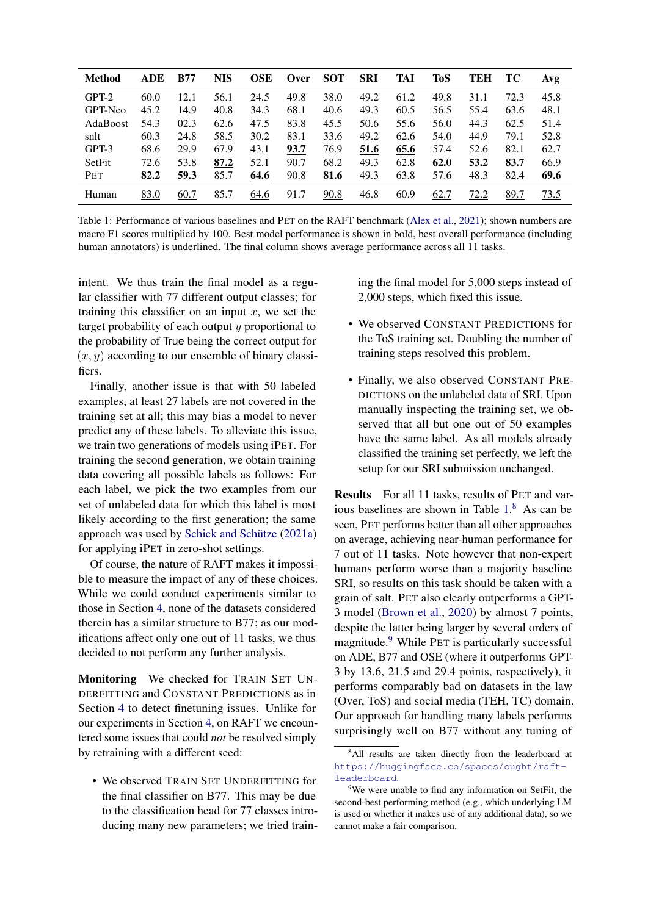| <b>Method</b>   | <b>ADE</b> | <b>B77</b> | <b>NIS</b> | <b>OSE</b> | Over | <b>SOT</b> | <b>SRI</b> | TAI  | ToS  | TEH  | TС   | Avg  |
|-----------------|------------|------------|------------|------------|------|------------|------------|------|------|------|------|------|
| $GPT-2$         | 60.0       | 12.1       | 56.1       | 24.5       | 49.8 | 38.0       | 49.2       | 61.2 | 49.8 | 31.1 | 72.3 | 45.8 |
| GPT-Neo         | 45.2       | 14.9       | 40.8       | 34.3       | 68.1 | 40.6       | 49.3       | 60.5 | 56.5 | 55.4 | 63.6 | 48.1 |
| <b>AdaBoost</b> | 54.3       | 02.3       | 62.6       | 47.5       | 83.8 | 45.5       | 50.6       | 55.6 | 56.0 | 44.3 | 62.5 | 51.4 |
| snlt            | 60.3       | 24.8       | 58.5       | 30.2       | 83.1 | 33.6       | 49.2       | 62.6 | 54.0 | 44.9 | 79.1 | 52.8 |
| GPT-3           | 68.6       | 29.9       | 67.9       | 43.1       | 93.7 | 76.9       | 51.6       | 65.6 | 57.4 | 52.6 | 82.1 | 62.7 |
| SetFit          | 72.6       | 53.8       | 87.2       | 52.1       | 90.7 | 68.2       | 49.3       | 62.8 | 62.0 | 53.2 | 83.7 | 66.9 |
| PET             | 82.2       | 59.3       | 85.7       | 64.6       | 90.8 | 81.6       | 49.3       | 63.8 | 57.6 | 48.3 | 82.4 | 69.6 |
| Human           | 83.0       | 60.7       | 85.7       | 64.6       | 91.7 | 90.8       | 46.8       | 60.9 | 62.7 | 72.2 | 89.7 | 73.5 |

<span id="page-9-0"></span>Table 1: Performance of various baselines and PET on the RAFT benchmark [\(Alex et al.,](#page-10-0) [2021\)](#page-10-0); shown numbers are macro F1 scores multiplied by 100. Best model performance is shown in bold, best overall performance (including human annotators) is underlined. The final column shows average performance across all 11 tasks.

intent. We thus train the final model as a regular classifier with 77 different output classes; for training this classifier on an input  $x$ , we set the target probability of each output  $y$  proportional to the probability of True being the correct output for  $(x, y)$  according to our ensemble of binary classifiers.

Finally, another issue is that with 50 labeled examples, at least 27 labels are not covered in the training set at all; this may bias a model to never predict any of these labels. To alleviate this issue, we train two generations of models using iPET. For training the second generation, we obtain training data covering all possible labels as follows: For each label, we pick the two examples from our set of unlabeled data for which this label is most likely according to the first generation; the same approach was used by [Schick and Schütze](#page-14-0) [\(2021a\)](#page-14-0) for applying iPET in zero-shot settings.

Of course, the nature of RAFT makes it impossible to measure the impact of any of these choices. While we could conduct experiments similar to those in Section [4,](#page-2-2) none of the datasets considered therein has a similar structure to B77; as our modifications affect only one out of 11 tasks, we thus decided to not perform any further analysis.

Monitoring We checked for TRAIN SET UN-DERFITTING and CONSTANT PREDICTIONS as in Section [4](#page-2-2) to detect finetuning issues. Unlike for our experiments in Section [4,](#page-2-2) on RAFT we encountered some issues that could *not* be resolved simply by retraining with a different seed:

• We observed TRAIN SET UNDERFITTING for the final classifier on B77. This may be due to the classification head for 77 classes introducing many new parameters; we tried training the final model for 5,000 steps instead of 2,000 steps, which fixed this issue.

- We observed CONSTANT PREDICTIONS for the ToS training set. Doubling the number of training steps resolved this problem.
- Finally, we also observed CONSTANT PRE-DICTIONS on the unlabeled data of SRI. Upon manually inspecting the training set, we observed that all but one out of 50 examples have the same label. As all models already classified the training set perfectly, we left the setup for our SRI submission unchanged.

Results For all 11 tasks, results of PET and various baselines are shown in Table [1.](#page-9-0) [8](#page-9-1) As can be seen, PET performs better than all other approaches on average, achieving near-human performance for 7 out of 11 tasks. Note however that non-expert humans perform worse than a majority baseline SRI, so results on this task should be taken with a grain of salt. PET also clearly outperforms a GPT-3 model [\(Brown et al.,](#page-11-0) [2020\)](#page-11-0) by almost 7 points, despite the latter being larger by several orders of magnitude.<sup>[9](#page-9-2)</sup> While PET is particularly successful on ADE, B77 and OSE (where it outperforms GPT-3 by 13.6, 21.5 and 29.4 points, respectively), it performs comparably bad on datasets in the law (Over, ToS) and social media (TEH, TC) domain. Our approach for handling many labels performs surprisingly well on B77 without any tuning of

<span id="page-9-1"></span><sup>&</sup>lt;sup>8</sup>All results are taken directly from the leaderboard at [https://huggingface.co/spaces/ought/raft](https://huggingface.co/spaces/ought/raft-leaderboard)[leaderboard](https://huggingface.co/spaces/ought/raft-leaderboard).

<span id="page-9-2"></span><sup>&</sup>lt;sup>9</sup>We were unable to find any information on SetFit, the second-best performing method (e.g., which underlying LM is used or whether it makes use of any additional data), so we cannot make a fair comparison.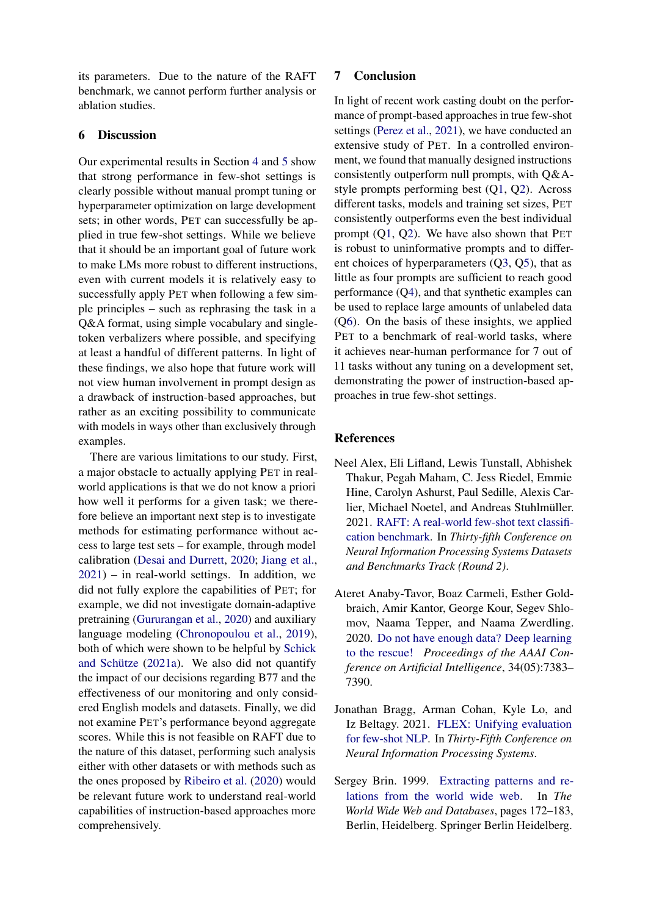its parameters. Due to the nature of the RAFT benchmark, we cannot perform further analysis or ablation studies.

#### 6 Discussion

Our experimental results in Section [4](#page-2-2) and [5](#page-7-0) show that strong performance in few-shot settings is clearly possible without manual prompt tuning or hyperparameter optimization on large development sets; in other words, PET can successfully be applied in true few-shot settings. While we believe that it should be an important goal of future work to make LMs more robust to different instructions, even with current models it is relatively easy to successfully apply PET when following a few simple principles – such as rephrasing the task in a Q&A format, using simple vocabulary and singletoken verbalizers where possible, and specifying at least a handful of different patterns. In light of these findings, we also hope that future work will not view human involvement in prompt design as a drawback of instruction-based approaches, but rather as an exciting possibility to communicate with models in ways other than exclusively through examples.

There are various limitations to our study. First, a major obstacle to actually applying PET in realworld applications is that we do not know a priori how well it performs for a given task; we therefore believe an important next step is to investigate methods for estimating performance without access to large test sets – for example, through model calibration [\(Desai and Durrett,](#page-11-10) [2020;](#page-11-10) [Jiang et al.,](#page-12-15)  $2021$ ) – in real-world settings. In addition, we did not fully explore the capabilities of PET; for example, we did not investigate domain-adaptive pretraining [\(Gururangan et al.,](#page-11-11) [2020\)](#page-11-11) and auxiliary language modeling [\(Chronopoulou et al.,](#page-11-12) [2019\)](#page-11-12), both of which were shown to be helpful by [Schick](#page-14-0) [and Schütze](#page-14-0) [\(2021a\)](#page-14-0). We also did not quantify the impact of our decisions regarding B77 and the effectiveness of our monitoring and only considered English models and datasets. Finally, we did not examine PET's performance beyond aggregate scores. While this is not feasible on RAFT due to the nature of this dataset, performing such analysis either with other datasets or with methods such as the ones proposed by [Ribeiro et al.](#page-13-14) [\(2020\)](#page-13-14) would be relevant future work to understand real-world capabilities of instruction-based approaches more comprehensively.

#### 7 Conclusion

In light of recent work casting doubt on the performance of prompt-based approaches in true few-shot settings [\(Perez et al.,](#page-13-0) [2021\)](#page-13-0), we have conducted an extensive study of PET. In a controlled environment, we found that manually designed instructions consistently outperform null prompts, with Q&Astyle prompts performing best ([Q1,](#page-3-0) [Q2\)](#page-4-2). Across different tasks, models and training set sizes, PET consistently outperforms even the best individual prompt ([Q1,](#page-3-0) [Q2\)](#page-4-2). We have also shown that PET is robust to uninformative prompts and to different choices of hyperparameters ([Q3,](#page-5-3) [Q5\)](#page-6-3), that as little as four prompts are sufficient to reach good performance ([Q4\)](#page-6-2), and that synthetic examples can be used to replace large amounts of unlabeled data ([Q6\)](#page-6-0). On the basis of these insights, we applied PET to a benchmark of real-world tasks, where it achieves near-human performance for 7 out of 11 tasks without any tuning on a development set, demonstrating the power of instruction-based approaches in true few-shot settings.

#### References

- <span id="page-10-0"></span>Neel Alex, Eli Lifland, Lewis Tunstall, Abhishek Thakur, Pegah Maham, C. Jess Riedel, Emmie Hine, Carolyn Ashurst, Paul Sedille, Alexis Carlier, Michael Noetel, and Andreas Stuhlmüller. 2021. [RAFT: A real-world few-shot text classifi](https://openreview.net/forum?id=bgWHz41FMB7)[cation benchmark.](https://openreview.net/forum?id=bgWHz41FMB7) In *Thirty-fifth Conference on Neural Information Processing Systems Datasets and Benchmarks Track (Round 2)*.
- <span id="page-10-3"></span>Ateret Anaby-Tavor, Boaz Carmeli, Esther Goldbraich, Amir Kantor, George Kour, Segev Shlomov, Naama Tepper, and Naama Zwerdling. 2020. [Do not have enough data? Deep learning](https://doi.org/10.1609/aaai.v34i05.6233) [to the rescue!](https://doi.org/10.1609/aaai.v34i05.6233) *Proceedings of the AAAI Conference on Artificial Intelligence*, 34(05):7383– 7390.
- <span id="page-10-1"></span>Jonathan Bragg, Arman Cohan, Kyle Lo, and Iz Beltagy. 2021. [FLEX: Unifying evaluation](https://openreview.net/forum?id=_WnGcwXLYOE) [for few-shot NLP.](https://openreview.net/forum?id=_WnGcwXLYOE) In *Thirty-Fifth Conference on Neural Information Processing Systems*.
- <span id="page-10-2"></span>Sergey Brin. 1999. [Extracting patterns and re](http://ilpubs.stanford.edu:8090/421/1/1999-65.pdf)[lations from the world wide web.](http://ilpubs.stanford.edu:8090/421/1/1999-65.pdf) In *The World Wide Web and Databases*, pages 172–183, Berlin, Heidelberg. Springer Berlin Heidelberg.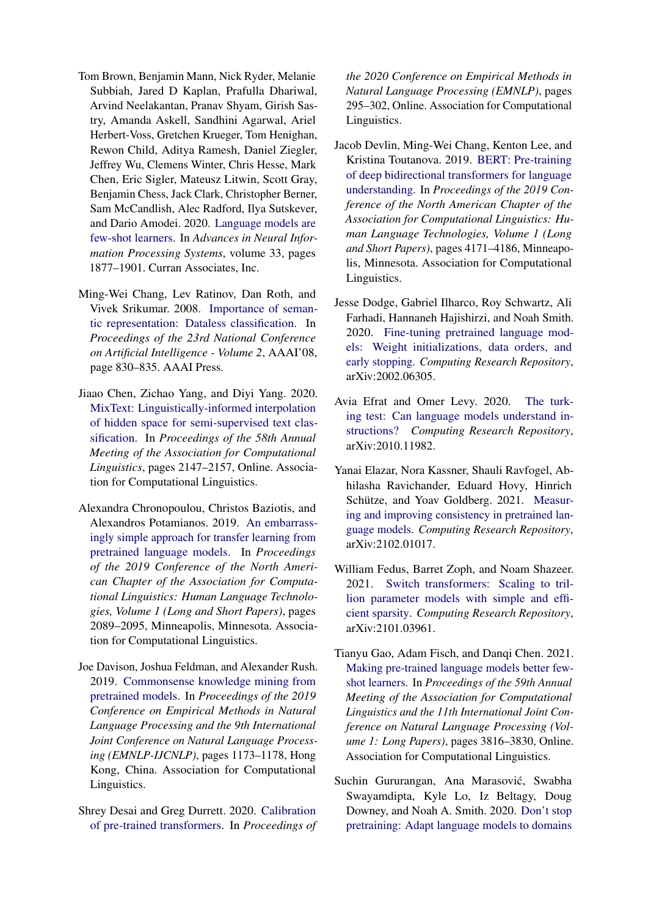- <span id="page-11-0"></span>Tom Brown, Benjamin Mann, Nick Ryder, Melanie Subbiah, Jared D Kaplan, Prafulla Dhariwal, Arvind Neelakantan, Pranav Shyam, Girish Sastry, Amanda Askell, Sandhini Agarwal, Ariel Herbert-Voss, Gretchen Krueger, Tom Henighan, Rewon Child, Aditya Ramesh, Daniel Ziegler, Jeffrey Wu, Clemens Winter, Chris Hesse, Mark Chen, Eric Sigler, Mateusz Litwin, Scott Gray, Benjamin Chess, Jack Clark, Christopher Berner, Sam McCandlish, Alec Radford, Ilya Sutskever, and Dario Amodei. 2020. [Language models are](https://proceedings.neurips.cc/paper/2020/file/1457c0d6bfcb4967418bfb8ac142f64a-Paper.pdf) [few-shot learners.](https://proceedings.neurips.cc/paper/2020/file/1457c0d6bfcb4967418bfb8ac142f64a-Paper.pdf) In *Advances in Neural Information Processing Systems*, volume 33, pages 1877–1901. Curran Associates, Inc.
- <span id="page-11-4"></span>Ming-Wei Chang, Lev Ratinov, Dan Roth, and Vivek Srikumar. 2008. [Importance of seman](https://aaaipress.org/Papers/AAAI/2008/AAAI08-132.pdf)[tic representation: Dataless classification.](https://aaaipress.org/Papers/AAAI/2008/AAAI08-132.pdf) In *Proceedings of the 23rd National Conference on Artificial Intelligence - Volume 2*, AAAI'08, page 830–835. AAAI Press.
- <span id="page-11-3"></span>Jiaao Chen, Zichao Yang, and Diyi Yang. 2020. [MixText: Linguistically-informed interpolation](https://doi.org/10.18653/v1/2020.acl-main.194) [of hidden space for semi-supervised text clas](https://doi.org/10.18653/v1/2020.acl-main.194)[sification.](https://doi.org/10.18653/v1/2020.acl-main.194) In *Proceedings of the 58th Annual Meeting of the Association for Computational Linguistics*, pages 2147–2157, Online. Association for Computational Linguistics.
- <span id="page-11-12"></span>Alexandra Chronopoulou, Christos Baziotis, and Alexandros Potamianos. 2019. [An embarrass](https://doi.org/10.18653/v1/N19-1213)[ingly simple approach for transfer learning from](https://doi.org/10.18653/v1/N19-1213) [pretrained language models.](https://doi.org/10.18653/v1/N19-1213) In *Proceedings of the 2019 Conference of the North American Chapter of the Association for Computational Linguistics: Human Language Technologies, Volume 1 (Long and Short Papers)*, pages 2089–2095, Minneapolis, Minnesota. Association for Computational Linguistics.
- <span id="page-11-5"></span>Joe Davison, Joshua Feldman, and Alexander Rush. 2019. [Commonsense knowledge mining from](https://doi.org/10.18653/v1/D19-1109) [pretrained models.](https://doi.org/10.18653/v1/D19-1109) In *Proceedings of the 2019 Conference on Empirical Methods in Natural Language Processing and the 9th International Joint Conference on Natural Language Processing (EMNLP-IJCNLP)*, pages 1173–1178, Hong Kong, China. Association for Computational Linguistics.
- <span id="page-11-10"></span>Shrey Desai and Greg Durrett. 2020. [Calibration](https://doi.org/10.18653/v1/2020.emnlp-main.21) [of pre-trained transformers.](https://doi.org/10.18653/v1/2020.emnlp-main.21) In *Proceedings of*

*the 2020 Conference on Empirical Methods in Natural Language Processing (EMNLP)*, pages 295–302, Online. Association for Computational Linguistics.

- <span id="page-11-8"></span>Jacob Devlin, Ming-Wei Chang, Kenton Lee, and Kristina Toutanova. 2019. [BERT: Pre-training](https://doi.org/10.18653/v1/N19-1423) [of deep bidirectional transformers for language](https://doi.org/10.18653/v1/N19-1423) [understanding.](https://doi.org/10.18653/v1/N19-1423) In *Proceedings of the 2019 Conference of the North American Chapter of the Association for Computational Linguistics: Human Language Technologies, Volume 1 (Long and Short Papers)*, pages 4171–4186, Minneapolis, Minnesota. Association for Computational Linguistics.
- <span id="page-11-9"></span>Jesse Dodge, Gabriel Ilharco, Roy Schwartz, Ali Farhadi, Hannaneh Hajishirzi, and Noah Smith. 2020. [Fine-tuning pretrained language mod](https://arxiv.org/abs/2002.06305)[els: Weight initializations, data orders, and](https://arxiv.org/abs/2002.06305) [early stopping.](https://arxiv.org/abs/2002.06305) *Computing Research Repository*, arXiv:2002.06305.
- <span id="page-11-6"></span>Avia Efrat and Omer Levy. 2020. [The turk](http://arxiv.org/abs/2010.11982)[ing test: Can language models understand in](http://arxiv.org/abs/2010.11982)[structions?](http://arxiv.org/abs/2010.11982) *Computing Research Repository*, arXiv:2010.11982.
- <span id="page-11-7"></span>Yanai Elazar, Nora Kassner, Shauli Ravfogel, Abhilasha Ravichander, Eduard Hovy, Hinrich Schütze, and Yoav Goldberg. 2021. [Measur](http://arxiv.org/abs/2102.01017)[ing and improving consistency in pretrained lan](http://arxiv.org/abs/2102.01017)[guage models.](http://arxiv.org/abs/2102.01017) *Computing Research Repository*, arXiv:2102.01017.
- <span id="page-11-1"></span>William Fedus, Barret Zoph, and Noam Shazeer. 2021. [Switch transformers: Scaling to tril](http://arxiv.org/abs/2101.03961)[lion parameter models with simple and effi](http://arxiv.org/abs/2101.03961)[cient sparsity.](http://arxiv.org/abs/2101.03961) *Computing Research Repository*, arXiv:2101.03961.
- <span id="page-11-2"></span>Tianyu Gao, Adam Fisch, and Danqi Chen. 2021. [Making pre-trained language models better few](https://doi.org/10.18653/v1/2021.acl-long.295)[shot learners.](https://doi.org/10.18653/v1/2021.acl-long.295) In *Proceedings of the 59th Annual Meeting of the Association for Computational Linguistics and the 11th International Joint Conference on Natural Language Processing (Volume 1: Long Papers)*, pages 3816–3830, Online. Association for Computational Linguistics.
- <span id="page-11-11"></span>Suchin Gururangan, Ana Marasović, Swabha Swayamdipta, Kyle Lo, Iz Beltagy, Doug Downey, and Noah A. Smith. 2020. [Don't stop](https://doi.org/10.18653/v1/2020.acl-main.740) [pretraining: Adapt language models to domains](https://doi.org/10.18653/v1/2020.acl-main.740)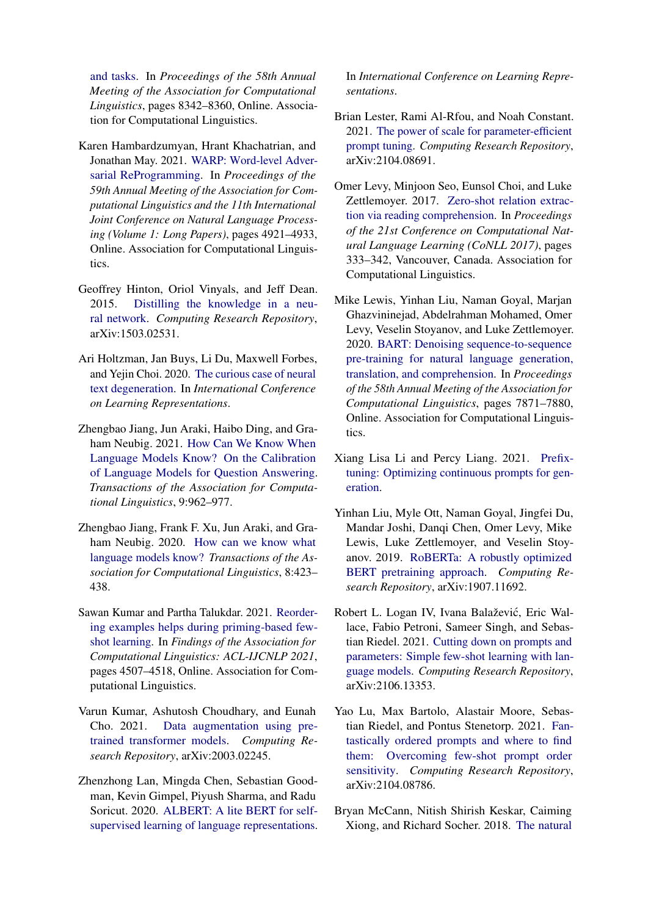[and tasks.](https://doi.org/10.18653/v1/2020.acl-main.740) In *Proceedings of the 58th Annual Meeting of the Association for Computational Linguistics*, pages 8342–8360, Online. Association for Computational Linguistics.

- <span id="page-12-3"></span>Karen Hambardzumyan, Hrant Khachatrian, and Jonathan May. 2021. [WARP: Word-level Adver](https://doi.org/10.18653/v1/2021.acl-long.381)[sarial ReProgramming.](https://doi.org/10.18653/v1/2021.acl-long.381) In *Proceedings of the 59th Annual Meeting of the Association for Computational Linguistics and the 11th International Joint Conference on Natural Language Processing (Volume 1: Long Papers)*, pages 4921–4933, Online. Association for Computational Linguistics.
- <span id="page-12-9"></span>Geoffrey Hinton, Oriol Vinyals, and Jeff Dean. 2015. [Distilling the knowledge in a neu](http://arxiv.org/abs/1503.02531)[ral network.](http://arxiv.org/abs/1503.02531) *Computing Research Repository*, arXiv:1503.02531.
- <span id="page-12-14"></span>Ari Holtzman, Jan Buys, Li Du, Maxwell Forbes, and Yejin Choi. 2020. [The curious case of neural](https://openreview.net/forum?id=rygGQyrFvH) [text degeneration.](https://openreview.net/forum?id=rygGQyrFvH) In *International Conference on Learning Representations*.
- <span id="page-12-15"></span>Zhengbao Jiang, Jun Araki, Haibo Ding, and Graham Neubig. 2021. [How Can We Know When](https://doi.org/10.1162/tacl_a_00407) [Language Models Know? On the Calibration](https://doi.org/10.1162/tacl_a_00407) [of Language Models for Question Answering.](https://doi.org/10.1162/tacl_a_00407) *Transactions of the Association for Computational Linguistics*, 9:962–977.
- <span id="page-12-0"></span>Zhengbao Jiang, Frank F. Xu, Jun Araki, and Graham Neubig. 2020. [How can we know what](https://doi.org/10.1162/tacl_a_00324) [language models know?](https://doi.org/10.1162/tacl_a_00324) *Transactions of the Association for Computational Linguistics*, 8:423– 438.
- <span id="page-12-8"></span>Sawan Kumar and Partha Talukdar. 2021. [Reorder](https://doi.org/10.18653/v1/2021.findings-acl.395)[ing examples helps during priming-based few](https://doi.org/10.18653/v1/2021.findings-acl.395)[shot learning.](https://doi.org/10.18653/v1/2021.findings-acl.395) In *Findings of the Association for Computational Linguistics: ACL-IJCNLP 2021*, pages 4507–4518, Online. Association for Computational Linguistics.
- <span id="page-12-13"></span>Varun Kumar, Ashutosh Choudhary, and Eunah Cho. 2021. [Data augmentation using pre](http://arxiv.org/abs/2003.02245)[trained transformer models.](http://arxiv.org/abs/2003.02245) *Computing Research Repository*, arXiv:2003.02245.
- <span id="page-12-11"></span>Zhenzhong Lan, Mingda Chen, Sebastian Goodman, Kevin Gimpel, Piyush Sharma, and Radu Soricut. 2020. [ALBERT: A lite BERT for self](https://openreview.net/forum?id=H1eA7AEtvS)[supervised learning of language representations.](https://openreview.net/forum?id=H1eA7AEtvS)

In *International Conference on Learning Representations*.

- <span id="page-12-2"></span>Brian Lester, Rami Al-Rfou, and Noah Constant. 2021. [The power of scale for parameter-efficient](http://arxiv.org/abs/2104.08691) [prompt tuning.](http://arxiv.org/abs/2104.08691) *Computing Research Repository*, arXiv:2104.08691.
- <span id="page-12-5"></span>Omer Levy, Minjoon Seo, Eunsol Choi, and Luke Zettlemoyer. 2017. [Zero-shot relation extrac](https://doi.org/10.18653/v1/K17-1034)[tion via reading comprehension.](https://doi.org/10.18653/v1/K17-1034) In *Proceedings of the 21st Conference on Computational Natural Language Learning (CoNLL 2017)*, pages 333–342, Vancouver, Canada. Association for Computational Linguistics.
- <span id="page-12-12"></span>Mike Lewis, Yinhan Liu, Naman Goyal, Marjan Ghazvininejad, Abdelrahman Mohamed, Omer Levy, Veselin Stoyanov, and Luke Zettlemoyer. 2020. [BART: Denoising sequence-to-sequence](https://doi.org/10.18653/v1/2020.acl-main.703) [pre-training for natural language generation,](https://doi.org/10.18653/v1/2020.acl-main.703) [translation, and comprehension.](https://doi.org/10.18653/v1/2020.acl-main.703) In *Proceedings of the 58th Annual Meeting of the Association for Computational Linguistics*, pages 7871–7880, Online. Association for Computational Linguistics.
- <span id="page-12-4"></span>Xiang Lisa Li and Percy Liang. 2021. [Prefix](http://arxiv.org/abs/2101.00190)[tuning: Optimizing continuous prompts for gen](http://arxiv.org/abs/2101.00190)[eration.](http://arxiv.org/abs/2101.00190)
- <span id="page-12-10"></span>Yinhan Liu, Myle Ott, Naman Goyal, Jingfei Du, Mandar Joshi, Danqi Chen, Omer Levy, Mike Lewis, Luke Zettlemoyer, and Veselin Stoyanov. 2019. [RoBERTa: A robustly optimized](http://arxiv.org/abs/1907.11692) [BERT pretraining approach.](http://arxiv.org/abs/1907.11692) *Computing Research Repository*, arXiv:1907.11692.
- <span id="page-12-1"></span>Robert L. Logan IV, Ivana Balaževic, Eric Wal- ´ lace, Fabio Petroni, Sameer Singh, and Sebastian Riedel. 2021. [Cutting down on prompts and](http://arxiv.org/abs/2106.13353) [parameters: Simple few-shot learning with lan](http://arxiv.org/abs/2106.13353)[guage models.](http://arxiv.org/abs/2106.13353) *Computing Research Repository*, arXiv:2106.13353.
- <span id="page-12-7"></span>Yao Lu, Max Bartolo, Alastair Moore, Sebastian Riedel, and Pontus Stenetorp. 2021. [Fan](http://arxiv.org/abs/2104.08786)[tastically ordered prompts and where to find](http://arxiv.org/abs/2104.08786) [them: Overcoming few-shot prompt order](http://arxiv.org/abs/2104.08786) [sensitivity.](http://arxiv.org/abs/2104.08786) *Computing Research Repository*, arXiv:2104.08786.
- <span id="page-12-6"></span>Bryan McCann, Nitish Shirish Keskar, Caiming Xiong, and Richard Socher. 2018. [The natural](http://arxiv.org/abs/1806.08730)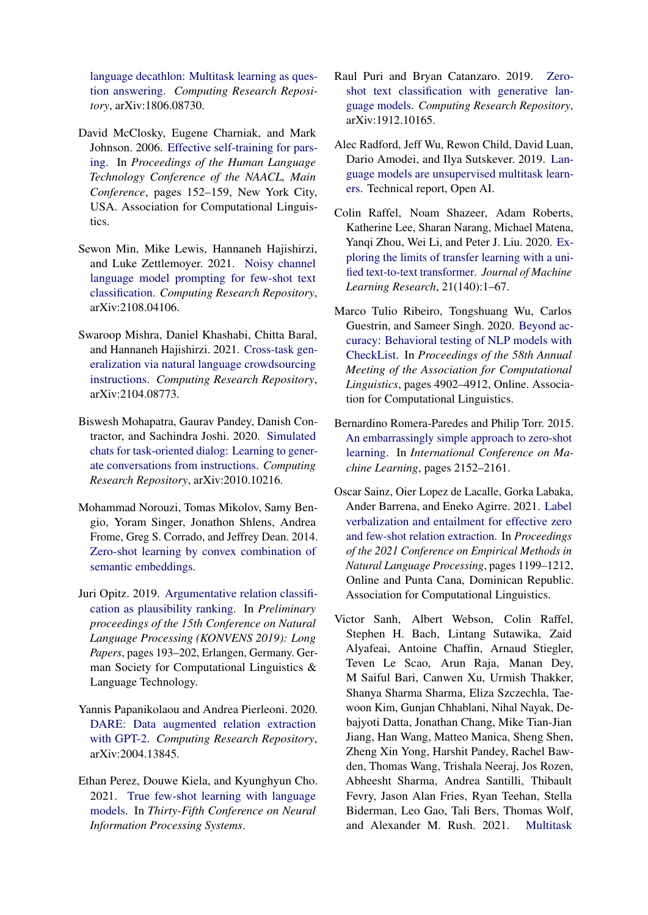[language decathlon: Multitask learning as ques](http://arxiv.org/abs/1806.08730)[tion answering.](http://arxiv.org/abs/1806.08730) *Computing Research Repository*, arXiv:1806.08730.

- <span id="page-13-11"></span>David McClosky, Eugene Charniak, and Mark Johnson. 2006. [Effective self-training for pars](https://www.aclweb.org/anthology/N06-1020)[ing.](https://www.aclweb.org/anthology/N06-1020) In *Proceedings of the Human Language Technology Conference of the NAACL, Main Conference*, pages 152–159, New York City, USA. Association for Computational Linguistics.
- <span id="page-13-9"></span>Sewon Min, Mike Lewis, Hannaneh Hajishirzi, and Luke Zettlemoyer. 2021. [Noisy channel](http://arxiv.org/abs/2108.04106) [language model prompting for few-shot text](http://arxiv.org/abs/2108.04106) [classification.](http://arxiv.org/abs/2108.04106) *Computing Research Repository*, arXiv:2108.04106.
- <span id="page-13-10"></span>Swaroop Mishra, Daniel Khashabi, Chitta Baral, and Hannaneh Hajishirzi. 2021. [Cross-task gen](http://arxiv.org/abs/2104.08773)[eralization via natural language crowdsourcing](http://arxiv.org/abs/2104.08773) [instructions.](http://arxiv.org/abs/2104.08773) *Computing Research Repository*, arXiv:2104.08773.
- <span id="page-13-13"></span>Biswesh Mohapatra, Gaurav Pandey, Danish Contractor, and Sachindra Joshi. 2020. [Simulated](http://arxiv.org/abs/2010.10216) [chats for task-oriented dialog: Learning to gener](http://arxiv.org/abs/2010.10216)[ate conversations from instructions.](http://arxiv.org/abs/2010.10216) *Computing Research Repository*, arXiv:2010.10216.
- <span id="page-13-4"></span>Mohammad Norouzi, Tomas Mikolov, Samy Bengio, Yoram Singer, Jonathon Shlens, Andrea Frome, Greg S. Corrado, and Jeffrey Dean. 2014. [Zero-shot learning by convex combination of](http://arxiv.org/abs/1312.5650) [semantic embeddings.](http://arxiv.org/abs/1312.5650)
- <span id="page-13-7"></span>Juri Opitz. 2019. [Argumentative relation classifi](https://arxiv.org/abs/1909.09031)[cation as plausibility ranking.](https://arxiv.org/abs/1909.09031) In *Preliminary proceedings of the 15th Conference on Natural Language Processing (KONVENS 2019): Long Papers*, pages 193–202, Erlangen, Germany. German Society for Computational Linguistics & Language Technology.
- <span id="page-13-12"></span>Yannis Papanikolaou and Andrea Pierleoni. 2020. [DARE: Data augmented relation extraction](http://arxiv.org/abs/2004.13845) [with GPT-2.](http://arxiv.org/abs/2004.13845) *Computing Research Repository*, arXiv:2004.13845.
- <span id="page-13-0"></span>Ethan Perez, Douwe Kiela, and Kyunghyun Cho. 2021. [True few-shot learning with language](https://openreview.net/forum?id=ShnM-rRh4T) [models.](https://openreview.net/forum?id=ShnM-rRh4T) In *Thirty-Fifth Conference on Neural Information Processing Systems*.
- <span id="page-13-6"></span>Raul Puri and Bryan Catanzaro. 2019. [Zero](http://arxiv.org/abs/1912.10165)[shot text classification with generative lan](http://arxiv.org/abs/1912.10165)[guage models.](http://arxiv.org/abs/1912.10165) *Computing Research Repository*, arXiv:1912.10165.
- <span id="page-13-1"></span>Alec Radford, Jeff Wu, Rewon Child, David Luan, Dario Amodei, and Ilya Sutskever. 2019. [Lan](https://cdn.openai.com/better-language-models/language_models_are_unsupervised_multitask_learners.pdf)[guage models are unsupervised multitask learn](https://cdn.openai.com/better-language-models/language_models_are_unsupervised_multitask_learners.pdf)[ers.](https://cdn.openai.com/better-language-models/language_models_are_unsupervised_multitask_learners.pdf) Technical report, Open AI.
- <span id="page-13-2"></span>Colin Raffel, Noam Shazeer, Adam Roberts, Katherine Lee, Sharan Narang, Michael Matena, Yanqi Zhou, Wei Li, and Peter J. Liu. 2020. [Ex](http://jmlr.org/papers/v21/20-074.html)[ploring the limits of transfer learning with a uni](http://jmlr.org/papers/v21/20-074.html)[fied text-to-text transformer.](http://jmlr.org/papers/v21/20-074.html) *Journal of Machine Learning Research*, 21(140):1–67.
- <span id="page-13-14"></span>Marco Tulio Ribeiro, Tongshuang Wu, Carlos Guestrin, and Sameer Singh. 2020. [Beyond ac](https://doi.org/10.18653/v1/2020.acl-main.442)[curacy: Behavioral testing of NLP models with](https://doi.org/10.18653/v1/2020.acl-main.442) [CheckList.](https://doi.org/10.18653/v1/2020.acl-main.442) In *Proceedings of the 58th Annual Meeting of the Association for Computational Linguistics*, pages 4902–4912, Online. Association for Computational Linguistics.
- <span id="page-13-5"></span>Bernardino Romera-Paredes and Philip Torr. 2015. [An embarrassingly simple approach to zero-shot](http://proceedings.mlr.press/v37/romera-paredes15.pdf) [learning.](http://proceedings.mlr.press/v37/romera-paredes15.pdf) In *International Conference on Machine Learning*, pages 2152–2161.
- <span id="page-13-8"></span>Oscar Sainz, Oier Lopez de Lacalle, Gorka Labaka, Ander Barrena, and Eneko Agirre. 2021. [Label](https://aclanthology.org/2021.emnlp-main.92) [verbalization and entailment for effective zero](https://aclanthology.org/2021.emnlp-main.92) [and few-shot relation extraction.](https://aclanthology.org/2021.emnlp-main.92) In *Proceedings of the 2021 Conference on Empirical Methods in Natural Language Processing*, pages 1199–1212, Online and Punta Cana, Dominican Republic. Association for Computational Linguistics.
- <span id="page-13-3"></span>Victor Sanh, Albert Webson, Colin Raffel, Stephen H. Bach, Lintang Sutawika, Zaid Alyafeai, Antoine Chaffin, Arnaud Stiegler, Teven Le Scao, Arun Raja, Manan Dey, M Saiful Bari, Canwen Xu, Urmish Thakker, Shanya Sharma Sharma, Eliza Szczechla, Taewoon Kim, Gunjan Chhablani, Nihal Nayak, Debajyoti Datta, Jonathan Chang, Mike Tian-Jian Jiang, Han Wang, Matteo Manica, Sheng Shen, Zheng Xin Yong, Harshit Pandey, Rachel Bawden, Thomas Wang, Trishala Neeraj, Jos Rozen, Abheesht Sharma, Andrea Santilli, Thibault Fevry, Jason Alan Fries, Ryan Teehan, Stella Biderman, Leo Gao, Tali Bers, Thomas Wolf, and Alexander M. Rush. 2021. [Multitask](http://arxiv.org/abs/2110.08207)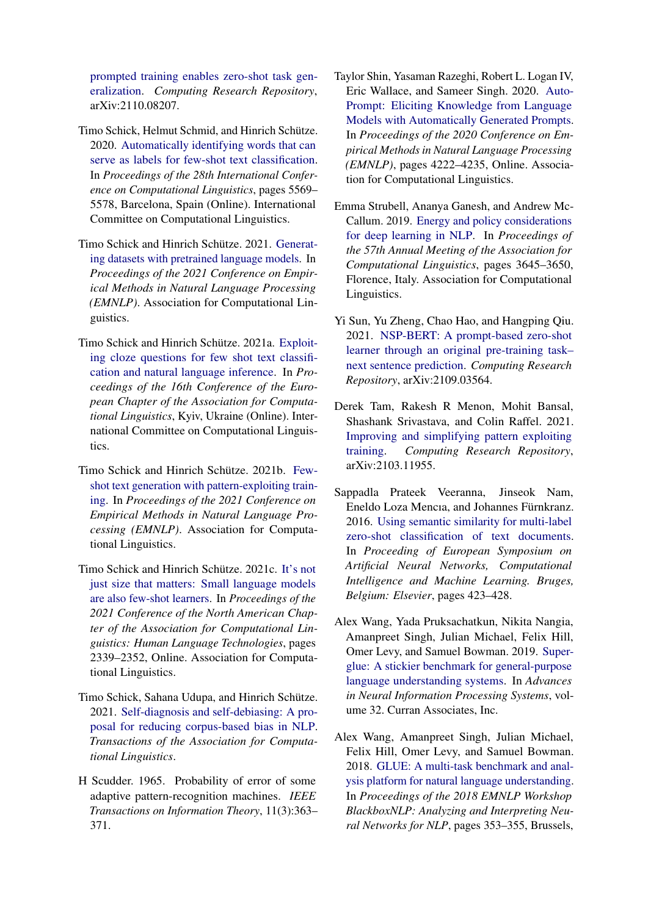[prompted training enables zero-shot task gen](http://arxiv.org/abs/2110.08207)[eralization.](http://arxiv.org/abs/2110.08207) *Computing Research Repository*, arXiv:2110.08207.

- <span id="page-14-8"></span>Timo Schick, Helmut Schmid, and Hinrich Schütze. 2020. [Automatically identifying words that can](https://www.aclweb.org/anthology/2020.coling-main.488) [serve as labels for few-shot text classification.](https://www.aclweb.org/anthology/2020.coling-main.488) In *Proceedings of the 28th International Conference on Computational Linguistics*, pages 5569– 5578, Barcelona, Spain (Online). International Committee on Computational Linguistics.
- <span id="page-14-6"></span>Timo Schick and Hinrich Schütze. 2021. [Generat](https://arxiv.org/abs/2104.07540)[ing datasets with pretrained language models.](https://arxiv.org/abs/2104.07540) In *Proceedings of the 2021 Conference on Empirical Methods in Natural Language Processing (EMNLP)*. Association for Computational Linguistics.
- <span id="page-14-0"></span>Timo Schick and Hinrich Schütze. 2021a. [Exploit](https://arxiv.org/abs/2001.07676)[ing cloze questions for few shot text classifi](https://arxiv.org/abs/2001.07676)[cation and natural language inference.](https://arxiv.org/abs/2001.07676) In *Proceedings of the 16th Conference of the European Chapter of the Association for Computational Linguistics*, Kyiv, Ukraine (Online). International Committee on Computational Linguistics.
- <span id="page-14-9"></span>Timo Schick and Hinrich Schütze. 2021b. [Few](http://arxiv.org/abs/2012.11926)[shot text generation with pattern-exploiting train](http://arxiv.org/abs/2012.11926)[ing.](http://arxiv.org/abs/2012.11926) In *Proceedings of the 2021 Conference on Empirical Methods in Natural Language Processing (EMNLP)*. Association for Computational Linguistics.
- <span id="page-14-1"></span>Timo Schick and Hinrich Schütze. 2021c. [It's not](https://doi.org/10.18653/v1/2021.naacl-main.185) [just size that matters: Small language models](https://doi.org/10.18653/v1/2021.naacl-main.185) [are also few-shot learners.](https://doi.org/10.18653/v1/2021.naacl-main.185) In *Proceedings of the 2021 Conference of the North American Chapter of the Association for Computational Linguistics: Human Language Technologies*, pages 2339–2352, Online. Association for Computational Linguistics.
- <span id="page-14-5"></span>Timo Schick, Sahana Udupa, and Hinrich Schütze. 2021. [Self-diagnosis and self-debiasing: A pro](https://arxiv.org/abs/2103.00453)[posal for reducing corpus-based bias in NLP.](https://arxiv.org/abs/2103.00453) *Transactions of the Association for Computational Linguistics*.
- <span id="page-14-10"></span>H Scudder. 1965. Probability of error of some adaptive pattern-recognition machines. *IEEE Transactions on Information Theory*, 11(3):363– 371.
- <span id="page-14-3"></span>Taylor Shin, Yasaman Razeghi, Robert L. Logan IV, Eric Wallace, and Sameer Singh. 2020. [Auto-](https://doi.org/10.18653/v1/2020.emnlp-main.346)[Prompt: Eliciting Knowledge from Language](https://doi.org/10.18653/v1/2020.emnlp-main.346) [Models with Automatically Generated Prompts.](https://doi.org/10.18653/v1/2020.emnlp-main.346) In *Proceedings of the 2020 Conference on Empirical Methods in Natural Language Processing (EMNLP)*, pages 4222–4235, Online. Association for Computational Linguistics.
- <span id="page-14-13"></span>Emma Strubell, Ananya Ganesh, and Andrew Mc-Callum. 2019. [Energy and policy considerations](https://doi.org/10.18653/v1/P19-1355) [for deep learning in NLP.](https://doi.org/10.18653/v1/P19-1355) In *Proceedings of the 57th Annual Meeting of the Association for Computational Linguistics*, pages 3645–3650, Florence, Italy. Association for Computational Linguistics.
- <span id="page-14-7"></span>Yi Sun, Yu Zheng, Chao Hao, and Hangping Qiu. 2021. [NSP-BERT: A prompt-based zero-shot](http://arxiv.org/abs/2109.03564) [learner through an original pre-training task–](http://arxiv.org/abs/2109.03564) [next sentence prediction.](http://arxiv.org/abs/2109.03564) *Computing Research Repository*, arXiv:2109.03564.
- <span id="page-14-2"></span>Derek Tam, Rakesh R Menon, Mohit Bansal, Shashank Srivastava, and Colin Raffel. 2021. [Improving and simplifying pattern exploiting](http://arxiv.org/abs/2103.11955) [training.](http://arxiv.org/abs/2103.11955) *Computing Research Repository*, arXiv:2103.11955.
- <span id="page-14-4"></span>Sappadla Prateek Veeranna, Jinseok Nam, Eneldo Loza Mencıa, and Johannes Fürnkranz. 2016. [Using semantic similarity for multi-label](https://www.elen.ucl.ac.be/Proceedings/esann/esannpdf/es2016-174.pdf) [zero-shot classification of text documents.](https://www.elen.ucl.ac.be/Proceedings/esann/esannpdf/es2016-174.pdf) In *Proceeding of European Symposium on Artificial Neural Networks, Computational Intelligence and Machine Learning. Bruges, Belgium: Elsevier*, pages 423–428.
- <span id="page-14-12"></span>Alex Wang, Yada Pruksachatkun, Nikita Nangia, Amanpreet Singh, Julian Michael, Felix Hill, Omer Levy, and Samuel Bowman. 2019. [Super](https://proceedings.neurips.cc/paper/2019/file/4496bf24afe7fab6f046bf4923da8de6-Paper.pdf)[glue: A stickier benchmark for general-purpose](https://proceedings.neurips.cc/paper/2019/file/4496bf24afe7fab6f046bf4923da8de6-Paper.pdf) [language understanding systems.](https://proceedings.neurips.cc/paper/2019/file/4496bf24afe7fab6f046bf4923da8de6-Paper.pdf) In *Advances in Neural Information Processing Systems*, volume 32. Curran Associates, Inc.
- <span id="page-14-11"></span>Alex Wang, Amanpreet Singh, Julian Michael, Felix Hill, Omer Levy, and Samuel Bowman. 2018. [GLUE: A multi-task benchmark and anal](https://doi.org/10.18653/v1/W18-5446)[ysis platform for natural language understanding.](https://doi.org/10.18653/v1/W18-5446) In *Proceedings of the 2018 EMNLP Workshop BlackboxNLP: Analyzing and Interpreting Neural Networks for NLP*, pages 353–355, Brussels,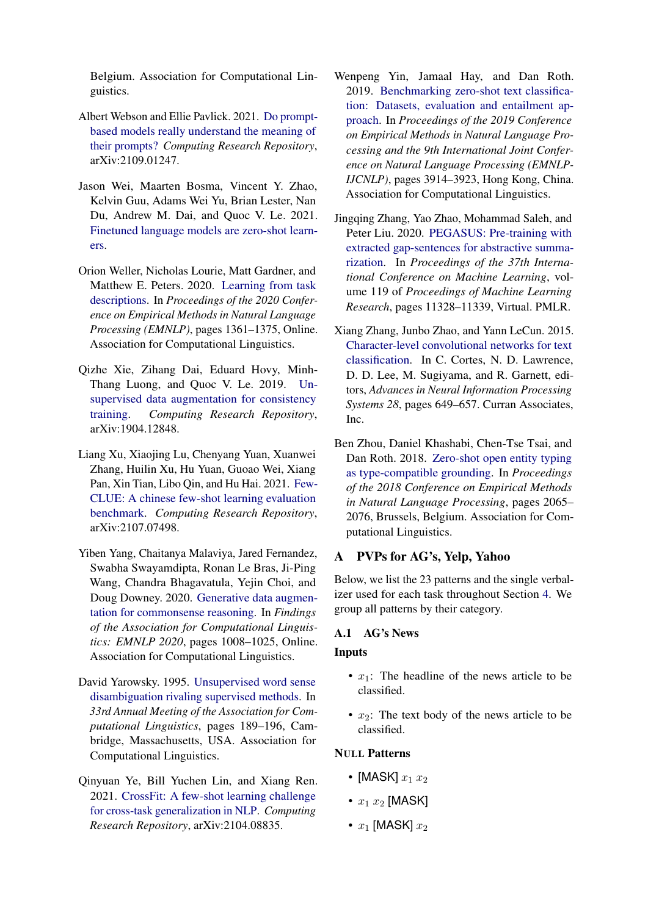Belgium. Association for Computational Linguistics.

- <span id="page-15-6"></span>Albert Webson and Ellie Pavlick. 2021. [Do prompt](http://arxiv.org/abs/2109.01247)[based models really understand the meaning of](http://arxiv.org/abs/2109.01247) [their prompts?](http://arxiv.org/abs/2109.01247) *Computing Research Repository*, arXiv:2109.01247.
- <span id="page-15-0"></span>Jason Wei, Maarten Bosma, Vincent Y. Zhao, Kelvin Guu, Adams Wei Yu, Brian Lester, Nan Du, Andrew M. Dai, and Quoc V. Le. 2021. [Finetuned language models are zero-shot learn](http://arxiv.org/abs/2109.01652)[ers.](http://arxiv.org/abs/2109.01652)
- <span id="page-15-5"></span>Orion Weller, Nicholas Lourie, Matt Gardner, and Matthew E. Peters. 2020. [Learning from task](https://doi.org/10.18653/v1/2020.emnlp-main.105) [descriptions.](https://doi.org/10.18653/v1/2020.emnlp-main.105) In *Proceedings of the 2020 Conference on Empirical Methods in Natural Language Processing (EMNLP)*, pages 1361–1375, Online. Association for Computational Linguistics.
- <span id="page-15-1"></span>Qizhe Xie, Zihang Dai, Eduard Hovy, Minh-Thang Luong, and Quoc V. Le. 2019. [Un](http://arxiv.org/abs/1904.12848)[supervised data augmentation for consistency](http://arxiv.org/abs/1904.12848) [training.](http://arxiv.org/abs/1904.12848) *Computing Research Repository*, arXiv:1904.12848.
- <span id="page-15-7"></span>Liang Xu, Xiaojing Lu, Chenyang Yuan, Xuanwei Zhang, Huilin Xu, Hu Yuan, Guoao Wei, Xiang Pan, Xin Tian, Libo Qin, and Hu Hai. 2021. [Few-](http://arxiv.org/abs/2107.07498)[CLUE: A chinese few-shot learning evaluation](http://arxiv.org/abs/2107.07498) [benchmark.](http://arxiv.org/abs/2107.07498) *Computing Research Repository*, arXiv:2107.07498.
- <span id="page-15-12"></span>Yiben Yang, Chaitanya Malaviya, Jared Fernandez, Swabha Swayamdipta, Ronan Le Bras, Ji-Ping Wang, Chandra Bhagavatula, Yejin Choi, and Doug Downey. 2020. [Generative data augmen](https://doi.org/10.18653/v1/2020.findings-emnlp.90)[tation for commonsense reasoning.](https://doi.org/10.18653/v1/2020.findings-emnlp.90) In *Findings of the Association for Computational Linguistics: EMNLP 2020*, pages 1008–1025, Online. Association for Computational Linguistics.
- <span id="page-15-9"></span>David Yarowsky. 1995. [Unsupervised word sense](https://doi.org/10.3115/981658.981684) [disambiguation rivaling supervised methods.](https://doi.org/10.3115/981658.981684) In *33rd Annual Meeting of the Association for Computational Linguistics*, pages 189–196, Cambridge, Massachusetts, USA. Association for Computational Linguistics.
- <span id="page-15-8"></span>Qinyuan Ye, Bill Yuchen Lin, and Xiang Ren. 2021. [CrossFit: A few-shot learning challenge](http://arxiv.org/abs/2104.08835) [for cross-task generalization in NLP.](http://arxiv.org/abs/2104.08835) *Computing Research Repository*, arXiv:2104.08835.
- <span id="page-15-4"></span>Wenpeng Yin, Jamaal Hay, and Dan Roth. 2019. [Benchmarking zero-shot text classifica](https://doi.org/10.18653/v1/D19-1404)[tion: Datasets, evaluation and entailment ap](https://doi.org/10.18653/v1/D19-1404)[proach.](https://doi.org/10.18653/v1/D19-1404) In *Proceedings of the 2019 Conference on Empirical Methods in Natural Language Processing and the 9th International Joint Conference on Natural Language Processing (EMNLP-IJCNLP)*, pages 3914–3923, Hong Kong, China. Association for Computational Linguistics.
- <span id="page-15-2"></span>Jingqing Zhang, Yao Zhao, Mohammad Saleh, and Peter Liu. 2020. [PEGASUS: Pre-training with](http://proceedings.mlr.press/v119/zhang20ae.html) [extracted gap-sentences for abstractive summa](http://proceedings.mlr.press/v119/zhang20ae.html)[rization.](http://proceedings.mlr.press/v119/zhang20ae.html) In *Proceedings of the 37th International Conference on Machine Learning*, volume 119 of *Proceedings of Machine Learning Research*, pages 11328–11339, Virtual. PMLR.
- <span id="page-15-10"></span>Xiang Zhang, Junbo Zhao, and Yann LeCun. 2015. [Character-level convolutional networks for text](http://papers.nips.cc/paper/5782-character-level-convolutional-networks-for-text-classification.pdf) [classification.](http://papers.nips.cc/paper/5782-character-level-convolutional-networks-for-text-classification.pdf) In C. Cortes, N. D. Lawrence, D. D. Lee, M. Sugiyama, and R. Garnett, editors, *Advances in Neural Information Processing Systems 28*, pages 649–657. Curran Associates, Inc.
- <span id="page-15-3"></span>Ben Zhou, Daniel Khashabi, Chen-Tse Tsai, and Dan Roth. 2018. [Zero-shot open entity typing](https://doi.org/10.18653/v1/D18-1231) [as type-compatible grounding.](https://doi.org/10.18653/v1/D18-1231) In *Proceedings of the 2018 Conference on Empirical Methods in Natural Language Processing*, pages 2065– 2076, Brussels, Belgium. Association for Computational Linguistics.

#### <span id="page-15-11"></span>A PVPs for AG's, Yelp, Yahoo

Below, we list the 23 patterns and the single verbalizer used for each task throughout Section [4.](#page-2-2) We group all patterns by their category.

#### A.1 AG's News

#### Inputs

- $x_1$ : The headline of the news article to be classified.
- $x_2$ : The text body of the news article to be classified.

#### NULL Patterns

- [MASK]  $x_1 x_2$
- $x_1 x_2$  [MASK]
- $x_1$  [MASK]  $x_2$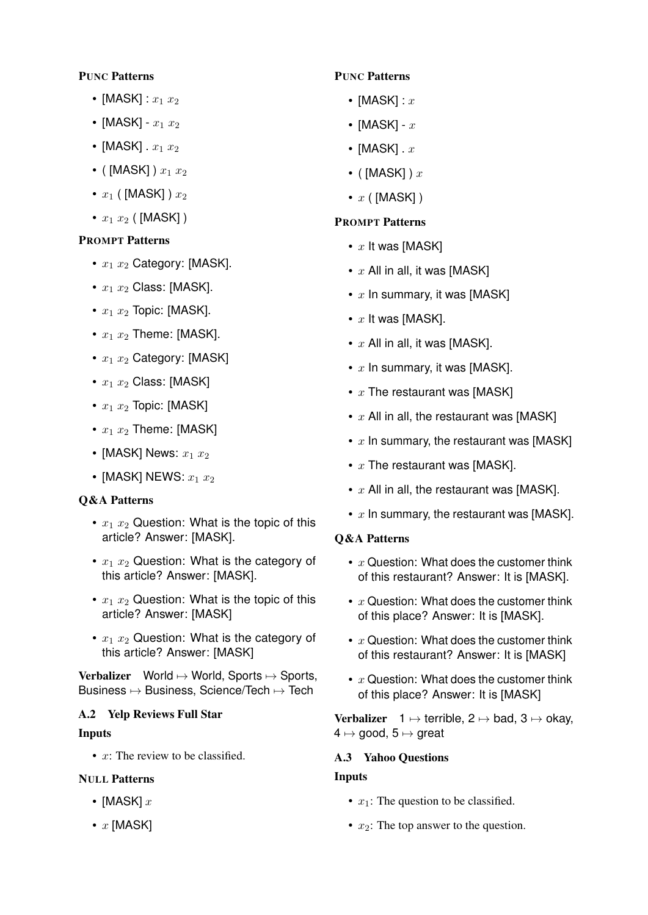# PUNC Patterns

- [MASK] :  $x_1 x_2$
- [MASK]  $x_1 x_2$
- [MASK]  $x_1 x_2$
- ( [MASK] )  $x_1 x_2$
- $x_1$  ( [MASK] )  $x_2$
- $x_1 x_2$  ( [MASK] )

# PROMPT Patterns

- $x_1 x_2$  Category: [MASK].
- $x_1 x_2$  Class: [MASK].
- $x_1 x_2$  Topic: [MASK].
- $x_1 x_2$  Theme: [MASK].
- $x_1 x_2$  Category: [MASK]
- $x_1 x_2$  Class: [MASK]
- $x_1 x_2$  Topic: [MASK]
- $x_1 x_2$  Theme: [MASK]
- [MASK] News:  $x_1 x_2$
- [MASK] NEWS:  $x_1 x_2$

# Q&A Patterns

- $x_1$   $x_2$  Question: What is the topic of this article? Answer: [MASK].
- $x_1$   $x_2$  Question: What is the category of this article? Answer: [MASK].
- $x_1$   $x_2$  Question: What is the topic of this article? Answer: [MASK]
- $x_1$   $x_2$  Question: What is the category of this article? Answer: [MASK]

Verbalizer World  $\mapsto$  World, Sports  $\mapsto$  Sports, Business 7→ Business, Science/Tech 7→ Tech

# A.2 Yelp Reviews Full Star

#### Inputs

•  $x$ : The review to be classified.

# NULL Patterns

- [MASK]  $x$
- $x$  [MASK]

# PUNC Patterns

- [MASK] :  $x$
- [MASK]  $x$
- [MASK].  $x$
- ( $[MASK]$ )  $x$
- $x$  ( [MASK] )

# PROMPT Patterns

- $x$  It was [MASK]
- $x$  All in all, it was [MASK]
- $x$  In summary, it was [MASK]
- $x$  It was [MASK].
- $x$  All in all, it was [MASK].
- $x$  In summary, it was [MASK].
- $x$  The restaurant was [MASK]
- $x$  All in all, the restaurant was [MASK]
- $x$  In summary, the restaurant was [MASK]
- $x$  The restaurant was [MASK].
- $x$  All in all, the restaurant was [MASK].
- $x$  In summary, the restaurant was [MASK].

#### Q&A Patterns

- $x$  Question: What does the customer think of this restaurant? Answer: It is [MASK].
- $x$  Question: What does the customer think of this place? Answer: It is [MASK].
- $x$  Question: What does the customer think of this restaurant? Answer: It is [MASK]
- $x$  Question: What does the customer think of this place? Answer: It is [MASK]

Verbalizer  $1 \mapsto$  terrible,  $2 \mapsto$  bad,  $3 \mapsto$  okay,  $4 \mapsto$  good,  $5 \mapsto$  great

#### A.3 Yahoo Questions

#### Inputs

- $x_1$ : The question to be classified.
- $x_2$ : The top answer to the question.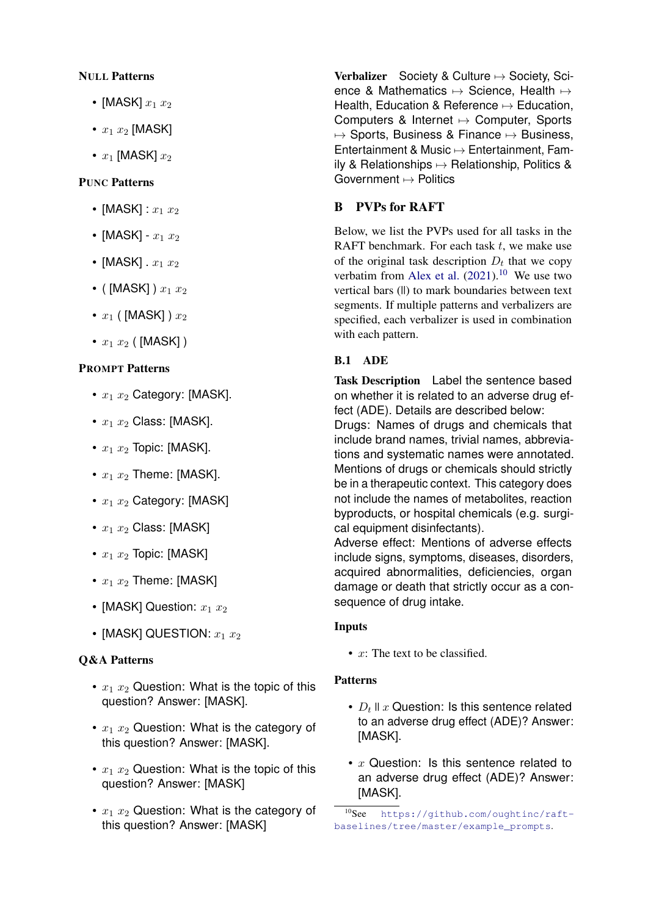## NULL Patterns

- [MASK]  $x_1 x_2$
- $x_1 x_2$  [MASK]
- $x_1$  [MASK]  $x_2$

# PUNC Patterns

- [MASK] :  $x_1 x_2$
- [MASK]  $x_1 x_2$
- [MASK]  $x_1 x_2$
- ( [MASK] )  $x_1 x_2$
- $x_1$  ( [MASK] )  $x_2$
- $x_1 x_2$  ( [MASK] )

## PROMPT Patterns

- $x_1 x_2$  Category: [MASK].
- $x_1 x_2$  Class: [MASK].
- $x_1 x_2$  Topic: [MASK].
- $x_1 x_2$  Theme: [MASK].
- $x_1 x_2$  Category: [MASK]
- $x_1 x_2$  Class: [MASK]
- $x_1 x_2$  Topic: [MASK]
- $x_1 x_2$  Theme: [MASK]
- [MASK] Question:  $x_1 x_2$
- [MASK] QUESTION:  $x_1 x_2$

# Q&A Patterns

- $x_1$   $x_2$  Question: What is the topic of this question? Answer: [MASK].
- $x_1$   $x_2$  Question: What is the category of this question? Answer: [MASK].
- $x_1$   $x_2$  Question: What is the topic of this question? Answer: [MASK]
- $x_1$   $x_2$  Question: What is the category of this question? Answer: [MASK]

Verbalizer Society & Culture  $\mapsto$  Society, Science & Mathematics  $\mapsto$  Science, Health  $\mapsto$ Health, Education & Reference  $\mapsto$  Education, Computers & Internet 7→ Computer, Sports  $\mapsto$  Sports, Business & Finance  $\mapsto$  Business, Entertainment & Music 7→ Entertainment, Family & Relationships  $\mapsto$  Relationship, Politics & Government  $\mapsto$  Politics

# <span id="page-17-0"></span>B PVPs for RAFT

Below, we list the PVPs used for all tasks in the RAFT benchmark. For each task  $t$ , we make use of the original task description  $D_t$  that we copy verbatim from [Alex et al.](#page-10-0)  $(2021).^{10}$  $(2021).^{10}$  $(2021).^{10}$  $(2021).^{10}$  We use two vertical bars (||) to mark boundaries between text segments. If multiple patterns and verbalizers are specified, each verbalizer is used in combination with each pattern.

# B.1 ADE

Task Description Label the sentence based on whether it is related to an adverse drug effect (ADE). Details are described below:

Drugs: Names of drugs and chemicals that include brand names, trivial names, abbreviations and systematic names were annotated. Mentions of drugs or chemicals should strictly be in a therapeutic context. This category does not include the names of metabolites, reaction byproducts, or hospital chemicals (e.g. surgical equipment disinfectants).

Adverse effect: Mentions of adverse effects include signs, symptoms, diseases, disorders, acquired abnormalities, deficiencies, organ damage or death that strictly occur as a consequence of drug intake.

#### Inputs

•  $x$ : The text to be classified.

#### Patterns

- $D_t$  II  $x$  Question: Is this sentence related to an adverse drug effect (ADE)? Answer: [MASK].
- $x$  Question: Is this sentence related to an adverse drug effect (ADE)? Answer: [MASK].

<span id="page-17-1"></span><sup>10</sup>See [https://github.com/oughtinc/raft](https://github.com/oughtinc/raft-baselines/tree/master/example_prompts)[baselines/tree/master/example\\_prompts](https://github.com/oughtinc/raft-baselines/tree/master/example_prompts).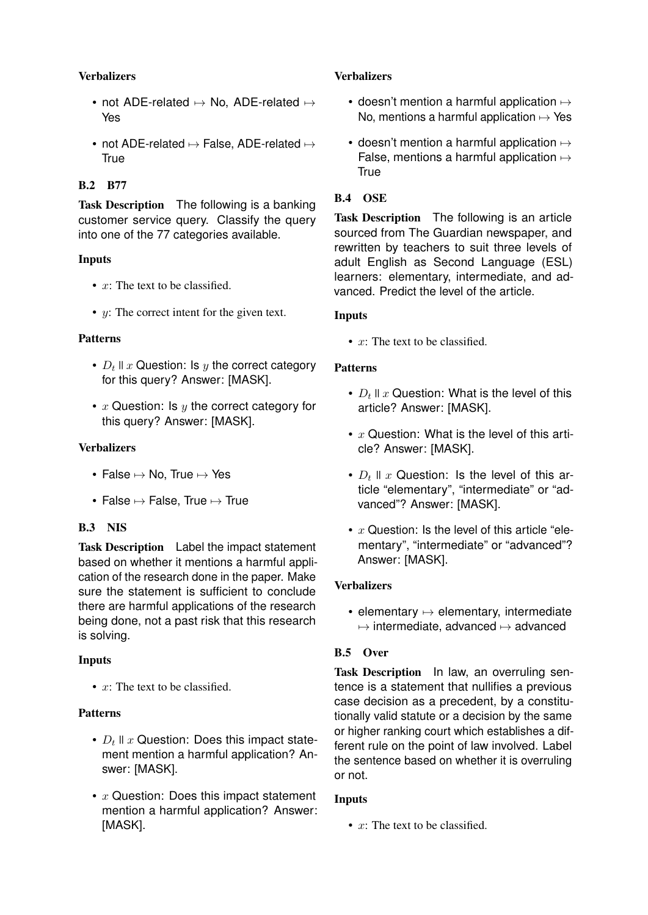# **Verbalizers**

- not ADE-related  $\mapsto$  No, ADE-related  $\mapsto$ Yes
- not ADE-related  $\mapsto$  False, ADE-related  $\mapsto$ True

# B.2 B77

Task Description The following is a banking customer service query. Classify the query into one of the 77 categories available.

## Inputs

- $x$ : The text to be classified.
- *y*: The correct intent for the given text.

#### Patterns

- $D_t$  II  $x$  Question: Is  $y$  the correct category for this query? Answer: [MASK].
- $x$  Question: Is  $y$  the correct category for this query? Answer: [MASK].

## Verbalizers

- False  $\mapsto$  No, True  $\mapsto$  Yes
- False  $\mapsto$  False, True  $\mapsto$  True

# B.3 NIS

Task Description Label the impact statement based on whether it mentions a harmful application of the research done in the paper. Make sure the statement is sufficient to conclude there are harmful applications of the research being done, not a past risk that this research is solving.

#### Inputs

•  $x$ : The text to be classified.

#### Patterns

- $D_t$  II  $x$  Question: Does this impact statement mention a harmful application? Answer: [MASK].
- $x$  Question: Does this impact statement mention a harmful application? Answer: [MASK].

## **Verbalizers**

- doesn't mention a harmful application  $\mapsto$ No, mentions a harmful application  $\mapsto$  Yes
- doesn't mention a harmful application  $\mapsto$ False, mentions a harmful application  $\mapsto$ **True**

# B.4 OSE

Task Description The following is an article sourced from The Guardian newspaper, and rewritten by teachers to suit three levels of adult English as Second Language (ESL) learners: elementary, intermediate, and advanced. Predict the level of the article.

#### Inputs

•  $x$ : The text to be classified.

## Patterns

- $D_t$  II  $x$  Question: What is the level of this article? Answer: [MASK].
- $x$  Question: What is the level of this article? Answer: [MASK].
- $D_t$  II  $x$  Question: Is the level of this article "elementary", "intermediate" or "advanced"? Answer: [MASK].
- $x$  Question: Is the level of this article "elementary", "intermediate" or "advanced"? Answer: [MASK].

#### **Verbalizers**

• elementary  $\mapsto$  elementary, intermediate  $\mapsto$  intermediate, advanced  $\mapsto$  advanced

# B.5 Over

Task Description In law, an overruling sentence is a statement that nullifies a previous case decision as a precedent, by a constitutionally valid statute or a decision by the same or higher ranking court which establishes a different rule on the point of law involved. Label the sentence based on whether it is overruling or not.

#### Inputs

•  $x$ : The text to be classified.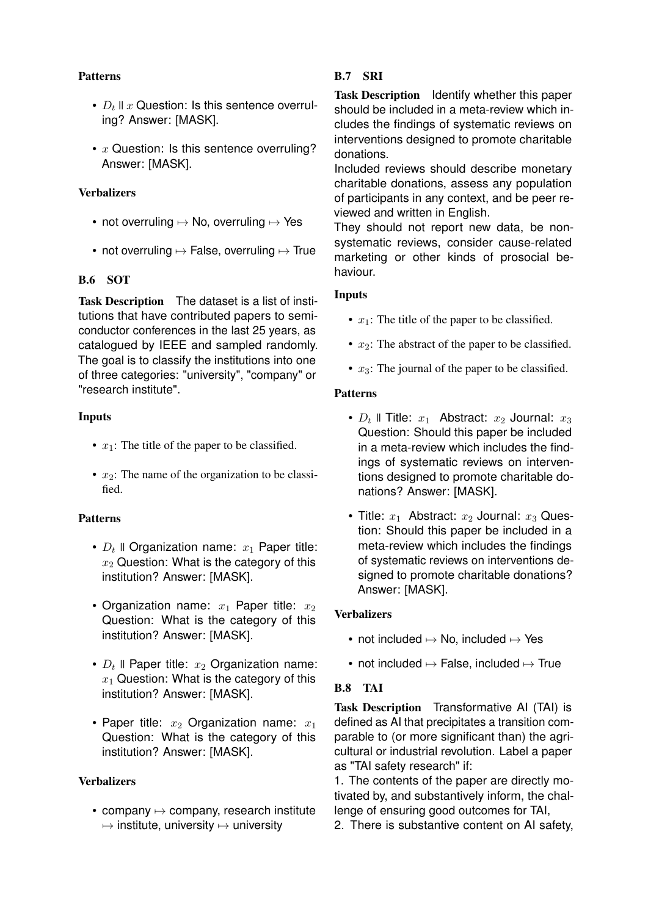## Patterns

- $D_t$  II  $x$  Question: Is this sentence overruling? Answer: [MASK].
- $x$  Question: Is this sentence overruling? Answer: [MASK].

## **Verbalizers**

- not overruling  $\mapsto$  No, overruling  $\mapsto$  Yes
- not overruling  $\mapsto$  False, overruling  $\mapsto$  True

# B.6 SOT

Task Description The dataset is a list of institutions that have contributed papers to semiconductor conferences in the last 25 years, as catalogued by IEEE and sampled randomly. The goal is to classify the institutions into one of three categories: "university", "company" or "research institute".

# Inputs

- $x_1$ : The title of the paper to be classified.
- $x_2$ : The name of the organization to be classified.

# Patterns

- $D_t$  II Organization name:  $x_1$  Paper title:  $x_2$  Question: What is the category of this institution? Answer: [MASK].
- Organization name:  $x_1$  Paper title:  $x_2$ Question: What is the category of this institution? Answer: [MASK].
- $D_t$  II Paper title:  $x_2$  Organization name:  $x_1$  Question: What is the category of this institution? Answer: [MASK].
- Paper title:  $x_2$  Organization name:  $x_1$ Question: What is the category of this institution? Answer: [MASK].

# **Verbalizers**

• company  $\mapsto$  company, research institute  $\mapsto$  institute, university  $\mapsto$  university

# B.7 SRI

Task Description Identify whether this paper should be included in a meta-review which includes the findings of systematic reviews on interventions designed to promote charitable donations.

Included reviews should describe monetary charitable donations, assess any population of participants in any context, and be peer reviewed and written in English.

They should not report new data, be nonsystematic reviews, consider cause-related marketing or other kinds of prosocial behaviour.

# Inputs

- $x_1$ : The title of the paper to be classified.
- $x_2$ : The abstract of the paper to be classified.
- $x_3$ : The journal of the paper to be classified.

#### Patterns

- $D_t$  II Title:  $x_1$  Abstract:  $x_2$  Journal:  $x_3$ Question: Should this paper be included in a meta-review which includes the findings of systematic reviews on interventions designed to promote charitable donations? Answer: [MASK].
- Title:  $x_1$  Abstract:  $x_2$  Journal:  $x_3$  Question: Should this paper be included in a meta-review which includes the findings of systematic reviews on interventions designed to promote charitable donations? Answer: [MASK].

# **Verbalizers**

- not included  $\mapsto$  No, included  $\mapsto$  Yes
- not included  $\mapsto$  False, included  $\mapsto$  True

# B.8 TAI

Task Description Transformative AI (TAI) is defined as AI that precipitates a transition comparable to (or more significant than) the agricultural or industrial revolution. Label a paper as "TAI safety research" if:

1. The contents of the paper are directly motivated by, and substantively inform, the challenge of ensuring good outcomes for TAI,

2. There is substantive content on AI safety,